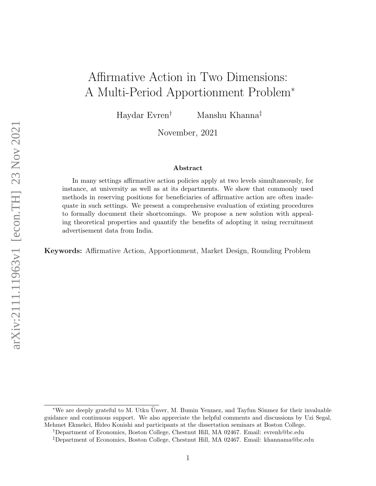# Affirmative Action in Two Dimensions: A Multi-Period Apportionment Problem<sup>∗</sup>

Haydar Evren† Manshu Khanna‡

November, 2021

#### Abstract

In many settings affirmative action policies apply at two levels simultaneously, for instance, at university as well as at its departments. We show that commonly used methods in reserving positions for beneficiaries of affirmative action are often inadequate in such settings. We present a comprehensive evaluation of existing procedures to formally document their shortcomings. We propose a new solution with appealing theoretical properties and quantify the benefits of adopting it using recruitment advertisement data from India.

Keywords: Affirmative Action, Apportionment, Market Design, Rounding Problem

†Department of Economics, Boston College, Chestnut Hill, MA 02467. Email: evrenh@bc.edu

<sup>\*</sup>We are deeply grateful to M. Utku Ünver, M. Bumin Yenmez, and Tayfun Sönmez for their invaluable guidance and continuous support. We also appreciate the helpful comments and discussions by Uzi Segal, Mehmet Ekmekci, Hideo Konishi and participants at the dissertation seminars at Boston College.

<sup>‡</sup>Department of Economics, Boston College, Chestnut Hill, MA 02467. Email: khannama@bc.edu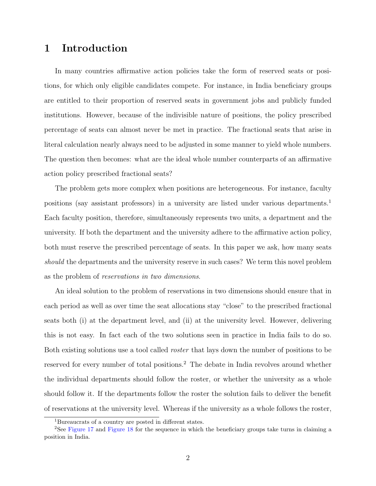# 1 Introduction

In many countries affirmative action policies take the form of reserved seats or positions, for which only eligible candidates compete. For instance, in India beneficiary groups are entitled to their proportion of reserved seats in government jobs and publicly funded institutions. However, because of the indivisible nature of positions, the policy prescribed percentage of seats can almost never be met in practice. The fractional seats that arise in literal calculation nearly always need to be adjusted in some manner to yield whole numbers. The question then becomes: what are the ideal whole number counterparts of an affirmative action policy prescribed fractional seats?

The problem gets more complex when positions are heterogeneous. For instance, faculty positions (say assistant professors) in a university are listed under various departments.<sup>1</sup> Each faculty position, therefore, simultaneously represents two units, a department and the university. If both the department and the university adhere to the affirmative action policy, both must reserve the prescribed percentage of seats. In this paper we ask, how many seats should the departments and the university reserve in such cases? We term this novel problem as the problem of reservations in two dimensions.

An ideal solution to the problem of reservations in two dimensions should ensure that in each period as well as over time the seat allocations stay "close" to the prescribed fractional seats both (i) at the department level, and (ii) at the university level. However, delivering this is not easy. In fact each of the two solutions seen in practice in India fails to do so. Both existing solutions use a tool called roster that lays down the number of positions to be reserved for every number of total positions.<sup>2</sup> The debate in India revolves around whether the individual departments should follow the roster, or whether the university as a whole should follow it. If the departments follow the roster the solution fails to deliver the benefit of reservations at the university level. Whereas if the university as a whole follows the roster,

<sup>1</sup>Bureaucrats of a country are posted in different states.

<sup>&</sup>lt;sup>2</sup>See [Figure 17](#page-52-0) and [Figure 18](#page-53-0) for the sequence in which the beneficiary groups take turns in claiming a position in India.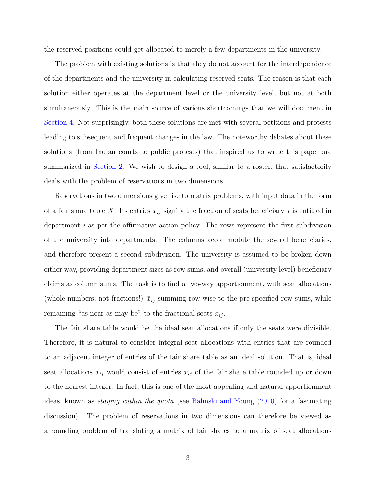the reserved positions could get allocated to merely a few departments in the university.

The problem with existing solutions is that they do not account for the interdependence of the departments and the university in calculating reserved seats. The reason is that each solution either operates at the department level or the university level, but not at both simultaneously. This is the main source of various shortcomings that we will document in [Section 4.](#page-15-0) Not surprisingly, both these solutions are met with several petitions and protests leading to subsequent and frequent changes in the law. The noteworthy debates about these solutions (from Indian courts to public protests) that inspired us to write this paper are summarized in [Section 2.](#page-7-0) We wish to design a tool, similar to a roster, that satisfactorily deals with the problem of reservations in two dimensions.

Reservations in two dimensions give rise to matrix problems, with input data in the form of a fair share table X. Its entries  $x_{ij}$  signify the fraction of seats beneficiary j is entitled in department i as per the affirmative action policy. The rows represent the first subdivision of the university into departments. The columns accommodate the several beneficiaries, and therefore present a second subdivision. The university is assumed to be broken down either way, providing department sizes as row sums, and overall (university level) beneficiary claims as column sums. The task is to find a two-way apportionment, with seat allocations (whole numbers, not fractions!)  $\bar{x}_{ij}$  summing row-wise to the pre-specified row sums, while remaining "as near as may be" to the fractional seats  $x_{ij}$ .

The fair share table would be the ideal seat allocations if only the seats were divisible. Therefore, it is natural to consider integral seat allocations with entries that are rounded to an adjacent integer of entries of the fair share table as an ideal solution. That is, ideal seat allocations  $\bar{x}_{ij}$  would consist of entries  $x_{ij}$  of the fair share table rounded up or down to the nearest integer. In fact, this is one of the most appealing and natural apportionment ideas, known as staying within the quota (see [Balinski and Young](#page-32-0) [\(2010\)](#page-32-0) for a fascinating discussion). The problem of reservations in two dimensions can therefore be viewed as a rounding problem of translating a matrix of fair shares to a matrix of seat allocations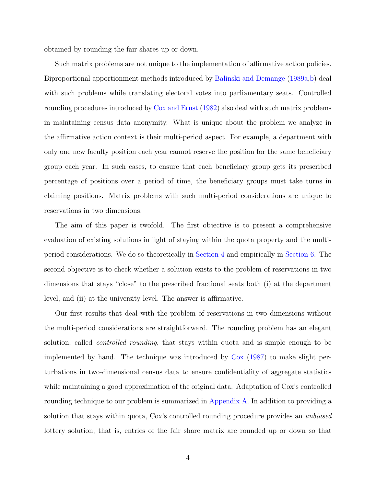obtained by rounding the fair shares up or down.

Such matrix problems are not unique to the implementation of affirmative action policies. Biproportional apportionment methods introduced by [Balinski and Demange](#page-32-1) [\(1989a,](#page-32-1)[b\)](#page-32-2) deal with such problems while translating electoral votes into parliamentary seats. Controlled rounding procedures introduced by [Cox and Ernst](#page-32-3) [\(1982\)](#page-32-3) also deal with such matrix problems in maintaining census data anonymity. What is unique about the problem we analyze in the affirmative action context is their multi-period aspect. For example, a department with only one new faculty position each year cannot reserve the position for the same beneficiary group each year. In such cases, to ensure that each beneficiary group gets its prescribed percentage of positions over a period of time, the beneficiary groups must take turns in claiming positions. Matrix problems with such multi-period considerations are unique to reservations in two dimensions.

The aim of this paper is twofold. The first objective is to present a comprehensive evaluation of existing solutions in light of staying within the quota property and the multiperiod considerations. We do so theoretically in [Section 4](#page-15-0) and empirically in [Section 6.](#page-25-0) The second objective is to check whether a solution exists to the problem of reservations in two dimensions that stays "close" to the prescribed fractional seats both (i) at the department level, and (ii) at the university level. The answer is affirmative.

Our first results that deal with the problem of reservations in two dimensions without the multi-period considerations are straightforward. The rounding problem has an elegant solution, called *controlled rounding*, that stays within quota and is simple enough to be implemented by hand. The technique was introduced by [Cox](#page-33-0) [\(1987\)](#page-33-0) to make slight perturbations in two-dimensional census data to ensure confidentiality of aggregate statistics while maintaining a good approximation of the original data. Adaptation of Cox's controlled rounding technique to our problem is summarized in [Appendix A.](#page-35-0) In addition to providing a solution that stays within quota, Cox's controlled rounding procedure provides an unbiased lottery solution, that is, entries of the fair share matrix are rounded up or down so that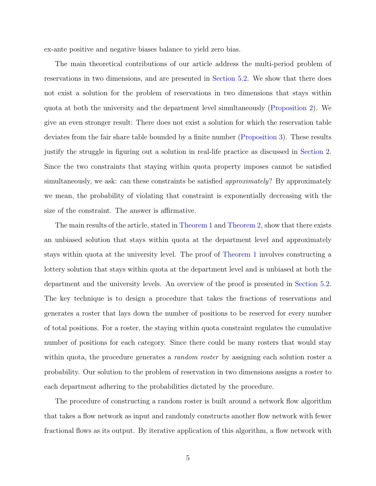ex-ante positive and negative biases balance to yield zero bias.

The main theoretical contributions of our article address the multi-period problem of reservations in two dimensions, and are presented in [Section 5.2.](#page-20-0) We show that there does not exist a solution for the problem of reservations in two dimensions that stays within quota at both the university and the department level simultaneously [\(Proposition 2\)](#page-21-0). We give an even stronger result: There does not exist a solution for which the reservation table deviates from the fair share table bounded by a finite number [\(Proposition 3\)](#page-22-0). These results justify the struggle in figuring out a solution in real-life practice as discussed in [Section 2.](#page-7-0) Since the two constraints that staying within quota property imposes cannot be satisfied simultaneously, we ask: can these constraints be satisfied *approximately*? By approximately we mean, the probability of violating that constraint is exponentially decreasing with the size of the constraint. The answer is affirmative.

The main results of the article, stated in [Theorem 1](#page-22-1) and [Theorem 2,](#page-24-0) show that there exists an unbiased solution that stays within quota at the department level and approximately stays within quota at the university level. The proof of [Theorem 1](#page-22-1) involves constructing a lottery solution that stays within quota at the department level and is unbiased at both the department and the university levels. An overview of the proof is presented in [Section 5.2.](#page-20-0) The key technique is to design a procedure that takes the fractions of reservations and generates a roster that lays down the number of positions to be reserved for every number of total positions. For a roster, the staying within quota constraint regulates the cumulative number of positions for each category. Since there could be many rosters that would stay within quota, the procedure generates a *random roster* by assigning each solution roster a probability. Our solution to the problem of reservation in two dimensions assigns a roster to each department adhering to the probabilities dictated by the procedure.

The procedure of constructing a random roster is built around a network flow algorithm that takes a flow network as input and randomly constructs another flow network with fewer fractional flows as its output. By iterative application of this algorithm, a flow network with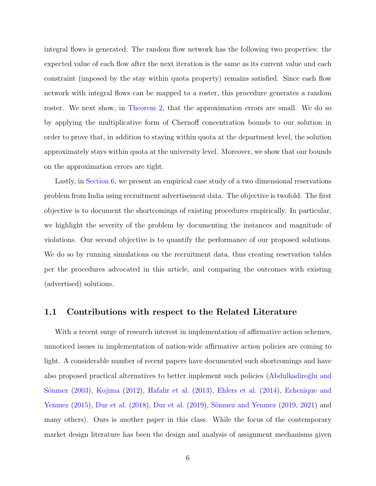integral flows is generated. The random flow network has the following two properties: the expected value of each flow after the next iteration is the same as its current value and each constraint (imposed by the stay within quota property) remains satisfied. Since each flow network with integral flows can be mapped to a roster, this procedure generates a random roster. We next show, in [Theorem 2,](#page-24-0) that the approximation errors are small. We do so by applying the multiplicative form of Chernoff concentration bounds to our solution in order to prove that, in addition to staying within quota at the department level, the solution approximately stays within quota at the university level. Moreover, we show that our bounds on the approximation errors are tight.

Lastly, in [Section 6,](#page-25-0) we present an empirical case study of a two dimensional reservations problem from India using recruitment advertisement data. The objective is twofold. The first objective is to document the shortcomings of existing procedures empirically. In particular, we highlight the severity of the problem by documenting the instances and magnitude of violations. Our second objective is to quantify the performance of our proposed solutions. We do so by running simulations on the recruitment data, thus creating reservation tables per the procedures advocated in this article, and comparing the outcomes with existing (advertised) solutions.

## 1.1 Contributions with respect to the Related Literature

With a recent surge of research interest in implementation of affirmative action schemes, unnoticed issues in implementation of nation-wide affirmative action policies are coming to light. A considerable number of recent papers have documented such shortcomings and have also proposed practical alternatives to better implement such policies (Abdulkadiroğlu and Sönmez [\(2003\)](#page-32-4), [Kojima](#page-33-1) [\(2012\)](#page-33-1), [Hafalir et al.](#page-33-2) [\(2013\)](#page-33-2), [Ehlers et al.](#page-33-3) [\(2014\)](#page-33-3), [Echenique and](#page-33-4) [Yenmez](#page-33-4)  $(2015)$ , [Dur et al.](#page-33-6)  $(2018)$ , Dur et al.  $(2019)$ , Sönmez and Yenmez  $(2019, 2021)$  $(2019, 2021)$  $(2019, 2021)$  and many others). Ours is another paper in this class. While the focus of the contemporary market design literature has been the design and analysis of assignment mechanisms given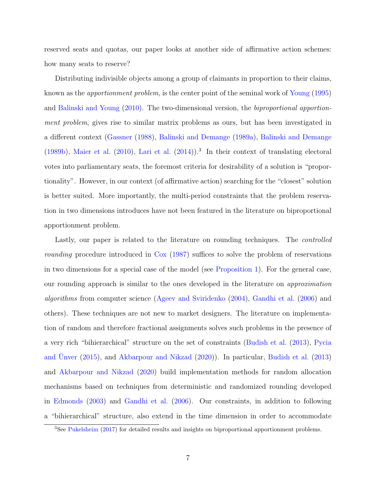reserved seats and quotas, our paper looks at another side of affirmative action schemes: how many seats to reserve?

Distributing indivisible objects among a group of claimants in proportion to their claims, known as the apportionment problem, is the center point of the seminal work of [Young](#page-34-2) [\(1995\)](#page-34-2) and [Balinski and Young](#page-32-0) [\(2010\)](#page-32-0). The two-dimensional version, the biproportional apportionment problem, gives rise to similar matrix problems as ours, but has been investigated in a different context [\(Gassner](#page-33-7) [\(1988\)](#page-33-7), [Balinski and Demange](#page-32-1) [\(1989a\)](#page-32-1), [Balinski and Demange](#page-32-2)  $(1989b)$ , [Maier et al.](#page-34-3)  $(2010)$ , [Lari et al.](#page-34-4)  $(2014)$ .<sup>3</sup> In their context of translating electoral votes into parliamentary seats, the foremost criteria for desirability of a solution is "proportionality". However, in our context (of affirmative action) searching for the "closest" solution is better suited. More importantly, the multi-period constraints that the problem reservation in two dimensions introduces have not been featured in the literature on biproportional apportionment problem.

Lastly, our paper is related to the literature on rounding techniques. The *controlled* rounding procedure introduced in [Cox](#page-33-0) [\(1987\)](#page-33-0) suffices to solve the problem of reservations in two dimensions for a special case of the model (see [Proposition 1\)](#page-20-1). For the general case, our rounding approach is similar to the ones developed in the literature on approximation algorithms from computer science [\(Ageev and Sviridenko](#page-32-5) [\(2004\)](#page-32-5), [Gandhi et al.](#page-33-8) [\(2006\)](#page-33-8) and others). These techniques are not new to market designers. The literature on implementation of random and therefore fractional assignments solves such problems in the presence of a very rich "bihierarchical" structure on the set of constraints [\(Budish et al.](#page-32-6) [\(2013\)](#page-32-6), [Pycia](#page-34-5) and [Unver](#page-34-5)  $(2015)$ , and [Akbarpour and Nikzad](#page-32-7)  $(2020)$ ). In particular, [Budish et al.](#page-32-6)  $(2013)$ and [Akbarpour and Nikzad](#page-32-7) [\(2020\)](#page-32-7) build implementation methods for random allocation mechanisms based on techniques from deterministic and randomized rounding developed in [Edmonds](#page-33-9) [\(2003\)](#page-33-9) and [Gandhi et al.](#page-33-8) [\(2006\)](#page-33-8). Our constraints, in addition to following a "bihierarchical" structure, also extend in the time dimension in order to accommodate

<sup>3</sup>See [Pukelsheim](#page-34-6) [\(2017\)](#page-34-6) for detailed results and insights on biproportional apportionment problems.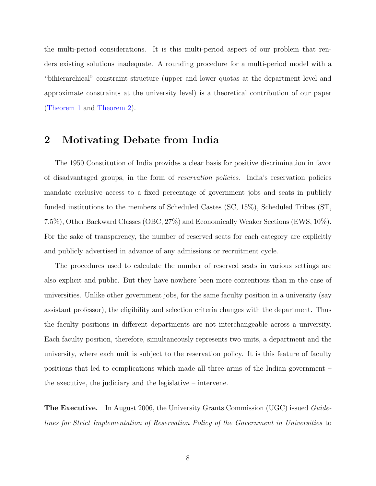the multi-period considerations. It is this multi-period aspect of our problem that renders existing solutions inadequate. A rounding procedure for a multi-period model with a "bihierarchical" constraint structure (upper and lower quotas at the department level and approximate constraints at the university level) is a theoretical contribution of our paper [\(Theorem 1](#page-22-1) and [Theorem 2\)](#page-24-0).

# <span id="page-7-0"></span>2 Motivating Debate from India

The 1950 Constitution of India provides a clear basis for positive discrimination in favor of disadvantaged groups, in the form of reservation policies. India's reservation policies mandate exclusive access to a fixed percentage of government jobs and seats in publicly funded institutions to the members of Scheduled Castes (SC, 15%), Scheduled Tribes (ST, 7.5%), Other Backward Classes (OBC, 27%) and Economically Weaker Sections (EWS, 10%). For the sake of transparency, the number of reserved seats for each category are explicitly and publicly advertised in advance of any admissions or recruitment cycle.

The procedures used to calculate the number of reserved seats in various settings are also explicit and public. But they have nowhere been more contentious than in the case of universities. Unlike other government jobs, for the same faculty position in a university (say assistant professor), the eligibility and selection criteria changes with the department. Thus the faculty positions in different departments are not interchangeable across a university. Each faculty position, therefore, simultaneously represents two units, a department and the university, where each unit is subject to the reservation policy. It is this feature of faculty positions that led to complications which made all three arms of the Indian government – the executive, the judiciary and the legislative – intervene.

The Executive. In August 2006, the University Grants Commission (UGC) issued Guidelines for Strict Implementation of Reservation Policy of the Government in Universities to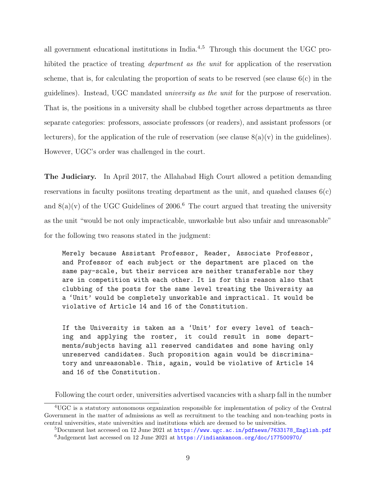all government educational institutions in India.4,5 Through this document the UGC prohibited the practice of treating *department as the unit* for application of the reservation scheme, that is, for calculating the proportion of seats to be reserved (see clause  $6(c)$ ) in the guidelines). Instead, UGC mandated university as the unit for the purpose of reservation. That is, the positions in a university shall be clubbed together across departments as three separate categories: professors, associate professors (or readers), and assistant professors (or lecturers), for the application of the rule of reservation (see clause  $8(a)(v)$  in the guidelines). However, UGC's order was challenged in the court.

The Judiciary. In April 2017, the Allahabad High Court allowed a petition demanding reservations in faculty positions treating department as the unit, and quashed clauses  $6(c)$ and  $8(a)(v)$  of the UGC Guidelines of 2006.<sup>6</sup> The court argued that treating the university as the unit "would be not only impracticable, unworkable but also unfair and unreasonable" for the following two reasons stated in the judgment:

Merely because Assistant Professor, Reader, Associate Professor, and Professor of each subject or the department are placed on the same pay-scale, but their services are neither transferable nor they are in competition with each other. It is for this reason also that clubbing of the posts for the same level treating the University as a 'Unit' would be completely unworkable and impractical. It would be violative of Article 14 and 16 of the Constitution.

If the University is taken as a 'Unit' for every level of teaching and applying the roster, it could result in some departments/subjects having all reserved candidates and some having only unreserved candidates. Such proposition again would be discriminatory and unreasonable. This, again, would be violative of Article 14 and 16 of the Constitution.

Following the court order, universities advertised vacancies with a sharp fall in the number

<sup>4</sup>UGC is a statutory autonomous organization responsible for implementation of policy of the Central Government in the matter of admissions as well as recruitment to the teaching and non-teaching posts in central universities, state universities and institutions which are deemed to be universities.

 $5D$ ocument last accessed on 12 June 2021 at [https://www.ugc.ac.in/pdfnews/7633178\\_English.pdf](https://www.ugc.ac.in/pdfnews/7633178_English.pdf)  $6Judgement$  last accessed on 12 June 2021 at <https://indiankanoon.org/doc/177500970/>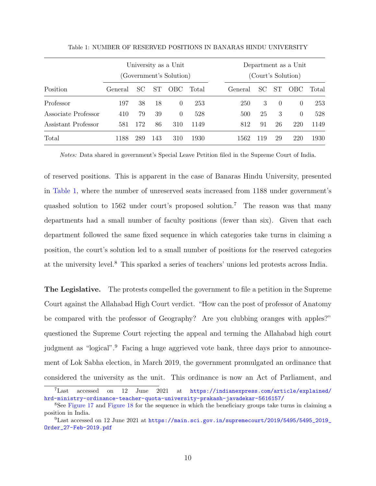<span id="page-9-0"></span>

|                     |         |     |     | University as a Unit<br>(Government's Solution) |       | Department as a Unit<br>(Court's Solution) |     |                  |          |       |  |
|---------------------|---------|-----|-----|-------------------------------------------------|-------|--------------------------------------------|-----|------------------|----------|-------|--|
| Position            | General | SC  | ST. | OBC.                                            | Total | General                                    | SC. | <b>ST</b>        | OBC      | Total |  |
| Professor           | 197     | 38  | 18  | $\theta$                                        | 253   | 250                                        | 3   | $\left( \right)$ | $\Omega$ | 253   |  |
| Associate Professor | 410     | 79  | 39  | $\theta$                                        | 528   | 500                                        | 25  | 3                | $\Omega$ | 528   |  |
| Assistant Professor | 581     | 172 | 86  | 310                                             | 1149  | 812                                        | 91  | 26               | 220      | 1149  |  |
| Total               | 1188    | 289 | 143 | 310                                             | 1930  | 1562                                       | 119 | 29               | 220      | 1930  |  |

Table 1: NUMBER OF RESERVED POSITIONS IN BANARAS HINDU UNIVERSITY

Notes: Data shared in government's Special Leave Petition filed in the Supreme Court of India.

of reserved positions. This is apparent in the case of Banaras Hindu University, presented in [Table 1,](#page-9-0) where the number of unreserved seats increased from 1188 under government's quashed solution to 1562 under court's proposed solution.<sup>7</sup> The reason was that many departments had a small number of faculty positions (fewer than six). Given that each department followed the same fixed sequence in which categories take turns in claiming a position, the court's solution led to a small number of positions for the reserved categories at the university level.<sup>8</sup> This sparked a series of teachers' unions led protests across India.

The Legislative. The protests compelled the government to file a petition in the Supreme Court against the Allahabad High Court verdict. "How can the post of professor of Anatomy be compared with the professor of Geography? Are you clubbing oranges with apples?" questioned the Supreme Court rejecting the appeal and terming the Allahabad high court judgment as "logical".<sup>9</sup> Facing a huge aggrieved vote bank, three days prior to announcement of Lok Sabha election, in March 2019, the government promulgated an ordinance that considered the university as the unit. This ordinance is now an Act of Parliament, and

<sup>7</sup>Last accessed on 12 June 2021 at [https://indianexpress.com/article/explained/](https://indianexpress.com/article/explained/hrd-ministry-ordinance-teacher-quota-university-prakash-javadekar-5616157/) [hrd-ministry-ordinance-teacher-quota-university-prakash-javadekar-5616157/](https://indianexpress.com/article/explained/hrd-ministry-ordinance-teacher-quota-university-prakash-javadekar-5616157/)

<sup>8</sup>See [Figure 17](#page-52-0) and [Figure 18](#page-53-0) for the sequence in which the beneficiary groups take turns in claiming a position in India.

 $^{9}$ Last accessed on 12 June 2021 at [https://main.sci.gov.in/supremecourt/2019/5495/5495\\_2019\\_](https://main.sci.gov.in/supremecourt/2019/5495/5495_2019_Order_27-Feb-2019.pdf) [Order\\_27-Feb-2019.pdf](https://main.sci.gov.in/supremecourt/2019/5495/5495_2019_Order_27-Feb-2019.pdf)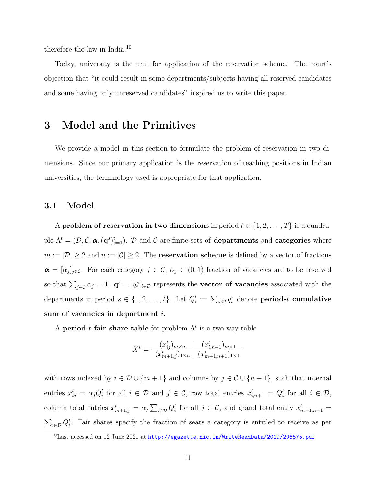therefore the law in India.<sup>10</sup>

Today, university is the unit for application of the reservation scheme. The court's objection that "it could result in some departments/subjects having all reserved candidates and some having only unreserved candidates" inspired us to write this paper.

# 3 Model and the Primitives

We provide a model in this section to formulate the problem of reservation in two dimensions. Since our primary application is the reservation of teaching positions in Indian universities, the terminology used is appropriate for that application.

## 3.1 Model

A problem of reservation in two dimensions in period  $t \in \{1, 2, ..., T\}$  is a quadruple  $\Lambda^t=(\mathcal{D},\mathcal{C},\boldsymbol{\alpha},(\mathbf{q}^s)_{s=1}^t)$ .  $\mathcal D$  and  $\mathcal C$  are finite sets of **departments** and **categories** where  $m := |\mathcal{D}| \geq 2$  and  $n := |\mathcal{C}| \geq 2$ . The **reservation scheme** is defined by a vector of fractions  $\alpha = [\alpha_j]_{j \in \mathcal{C}}$ . For each category  $j \in \mathcal{C}$ ,  $\alpha_j \in (0,1)$  fraction of vacancies are to be reserved so that  $\sum_{j\in\mathcal{C}}\alpha_j=1$ .  $\mathbf{q}^s=[q_i^s]_{i\in\mathcal{D}}$  represents the **vector of vacancies** associated with the departments in period  $s \in \{1, 2, ..., t\}$ . Let  $Q_i^t := \sum_{s \leq t} q_i^s$  denote **period-t cumulative** sum of vacancies in department *i*.

A period-t fair share table for problem  $\Lambda^t$  is a two-way table

$$
X^{t} = \frac{(x_{ij}^{t})_{m \times n}}{(x_{m+1,j}^{t})_{1 \times n}} \frac{(x_{i,n+1}^{t})_{m \times 1}}{(x_{m+1,n+1}^{t})_{1 \times 1}}
$$

with rows indexed by  $i \in \mathcal{D} \cup \{m+1\}$  and columns by  $j \in \mathcal{C} \cup \{n+1\}$ , such that internal entries  $x_{ij}^t = \alpha_j Q_i^t$  for all  $i \in \mathcal{D}$  and  $j \in \mathcal{C}$ , row total entries  $x_{i,n+1}^t = Q_i^t$  for all  $i \in \mathcal{D}$ , column total entries  $x_{m+1,j}^t = \alpha_j \sum_{i \in \mathcal{D}} Q_i^t$  for all  $j \in \mathcal{C}$ , and grand total entry  $x_{m+1,n+1}^t =$  $\sum_{i\in\mathcal{D}} Q_i^t$ . Fair shares specify the fraction of seats a category is entitled to receive as per

 $^{10}$ Last accessed on 12 June 2021 at  ${\tt http://egazette.nic.in/WriteReadData/2019/206575.pdf}$  ${\tt http://egazette.nic.in/WriteReadData/2019/206575.pdf}$  ${\tt http://egazette.nic.in/WriteReadData/2019/206575.pdf}$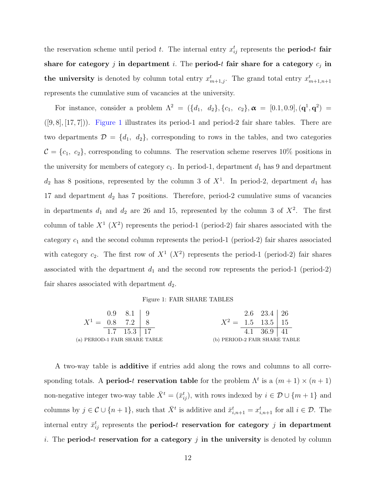the reservation scheme until period t. The internal entry  $x_{ij}^t$  represents the **period-t fair** share for category j in department i. The period-t fair share for a category  $c_j$  in the university is denoted by column total entry  $x_{m+1,j}^t$ . The grand total entry  $x_{m+1,n+1}^t$ represents the cumulative sum of vacancies at the university.

For instance, consider a problem  $\Lambda^2 = (\{d_1, d_2\}, \{c_1, c_2\}, \boldsymbol{\alpha} = [0.1, 0.9], (\mathbf{q}^1, \mathbf{q}^2) =$  $([9, 8], [17, 7])$ . [Figure 1](#page-11-0) illustrates its period-1 and period-2 fair share tables. There are two departments  $\mathcal{D} = \{d_1, d_2\}$ , corresponding to rows in the tables, and two categories  $C = \{c_1, c_2\}$ , corresponding to columns. The reservation scheme reserves 10% positions in the university for members of category  $c_1$ . In period-1, department  $d_1$  has 9 and department  $d_2$  has 8 positions, represented by the column 3 of  $X<sup>1</sup>$ . In period-2, department  $d_1$  has 17 and department  $d_2$  has 7 positions. Therefore, period-2 cumulative sums of vacancies in departments  $d_1$  and  $d_2$  are 26 and 15, represented by the column 3 of  $X^2$ . The first column of table  $X^1$  ( $X^2$ ) represents the period-1 (period-2) fair shares associated with the category  $c_1$  and the second column represents the period-1 (period-2) fair shares associated with category  $c_2$ . The first row of  $X^1$   $(X^2)$  represents the period-1 (period-2) fair shares associated with the department  $d_1$  and the second row represents the period-1 (period-2) fair shares associated with department  $d_2$ .

#### Figure 1: FAIR SHARE TABLES

<span id="page-11-0"></span>

|                               | $0.9 \quad 8.1 \quad   \quad 9$ |                                | $2.6 \quad 23.4 \quad 26$ |  |
|-------------------------------|---------------------------------|--------------------------------|---------------------------|--|
| $X^1 = 0.8$ 7.2   8           |                                 | $X^2 = 1.5 \quad 13.5 \mid 15$ |                           |  |
|                               | 1.7 $15.3$   17                 |                                | 4.1 $36.9 \mid 41$        |  |
| (a) PERIOD-1 FAIR SHARE TABLE |                                 | (b) PERIOD-2 FAIR SHARE TABLE  |                           |  |

A two-way table is additive if entries add along the rows and columns to all corresponding totals. A **period-t reservation table** for the problem  $\Lambda^t$  is a  $(m+1) \times (n+1)$ non-negative integer two-way table  $\bar{X}^t = (\bar{x}_{ij}^t)$ , with rows indexed by  $i \in \mathcal{D} \cup \{m+1\}$  and columns by  $j \in \mathcal{C} \cup \{n+1\}$ , such that  $\bar{X}^t$  is additive and  $\bar{x}_{i,n+1}^t = x_{i,n+1}^t$  for all  $i \in \mathcal{D}$ . The internal entry  $\bar{x}_{ij}^t$  represents the period-t reservation for category j in department i. The **period-t reservation for a category** j in the university is denoted by column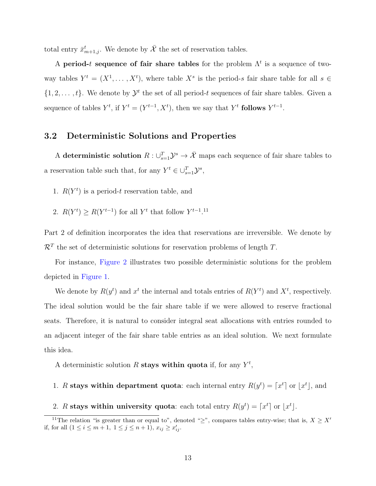total entry  $\bar{x}_{m+1,j}^t$ . We denote by  $\bar{\mathcal{X}}$  the set of reservation tables.

A period-t sequence of fair share tables for the problem  $\Lambda^t$  is a sequence of twoway tables  $Y^t = (X^1, \ldots, X^t)$ , where table  $X^s$  is the period-s fair share table for all  $s \in$  $\{1, 2, \ldots, t\}$ . We denote by  $\mathcal{Y}^t$  the set of all period-t sequences of fair share tables. Given a sequence of tables  $Y^t$ , if  $Y^t = (Y^{t-1}, X^t)$ , then we say that  $Y^t$  follows  $Y^{t-1}$ .

# 3.2 Deterministic Solutions and Properties

A deterministic solution  $R: \cup_{s=1}^T \mathcal{Y}^s \to \overline{\mathcal{X}}$  maps each sequence of fair share tables to a reservation table such that, for any  $Y^t \in \bigcup_{s=1}^T \mathcal{Y}^s$ ,

- 1.  $R(Y<sup>t</sup>)$  is a period-t reservation table, and
- 2.  $R(Y^t) \geq R(Y^{t-1})$  for all Y<sup>t</sup> that follow  $Y^{t-1}$ .<sup>11</sup>

Part 2 of definition incorporates the idea that reservations are irreversible. We denote by  $\mathcal{R}^T$  the set of deterministic solutions for reservation problems of length T.

For instance, [Figure 2](#page-13-0) illustrates two possible deterministic solutions for the problem depicted in [Figure 1.](#page-11-0)

We denote by  $R(y^t)$  and  $x^t$  the internal and totals entries of  $R(Y^t)$  and  $X^t$ , respectively. The ideal solution would be the fair share table if we were allowed to reserve fractional seats. Therefore, it is natural to consider integral seat allocations with entries rounded to an adjacent integer of the fair share table entries as an ideal solution. We next formulate this idea.

A deterministic solution R stays within quota if, for any  $Y^t$ ,

- 1. R stays within department quota: each internal entry  $R(y^t) = [x^t]$  or  $|x^t|$ , and
- 2. R stays within university quota: each total entry  $R(y^t) = \lceil x^t \rceil$  or  $\lfloor x^t \rfloor$ .

<sup>&</sup>lt;sup>11</sup>The relation "is greater than or equal to", denoted "≥", compares tables entry-wise; that is,  $X \geq X'$ if, for all  $(1 \le i \le m+1, 1 \le j \le n+1), x_{ij} \ge x'_{ij}$ .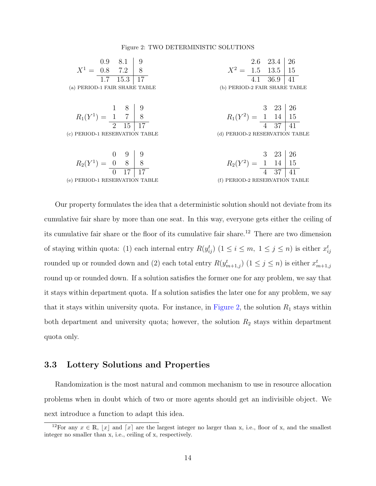#### Figure 2: TWO DETERMINISTIC SOLUTIONS

<span id="page-13-0"></span>

| $0.9$ 8.1                                                                                       | - 9 |                                                                                                     | $2.6$ $23.4$       | <sup>26</sup> |
|-------------------------------------------------------------------------------------------------|-----|-----------------------------------------------------------------------------------------------------|--------------------|---------------|
| $X^1 = 0.8$ 7.2 8                                                                               |     | $X^2 = 1.5 \quad 13.5 \mid 15$                                                                      |                    |               |
| 1.7 $15.3 \overline{)17}$                                                                       |     |                                                                                                     | 4.1 $36.9 \mid 41$ |               |
| (a) PERIOD-1 FAIR SHARE TABLE                                                                   |     | (b) PERIOD-2 FAIR SHARE TABLE                                                                       |                    |               |
|                                                                                                 |     |                                                                                                     |                    |               |
|                                                                                                 |     |                                                                                                     |                    |               |
| $R_1(Y^1) = \begin{array}{c c} 1 & 8 & 9 \\ \hline 1 & 7 & 8 \\ \hline 2 & 15 & 17 \end{array}$ |     | $R_1(Y^2) = \begin{array}{c c} 3 & 23 & 26 \\ \hline 1 & 14 & 15 \\ \hline 4 & 37 & 41 \end{array}$ |                    |               |
|                                                                                                 |     |                                                                                                     |                    |               |
| (c) PERIOD-1 RESERVATION TABLE                                                                  |     | (d) PERIOD-2 RESERVATION TABLE                                                                      |                    |               |
|                                                                                                 |     |                                                                                                     |                    |               |
|                                                                                                 |     |                                                                                                     |                    |               |
| $R_2(Y^1) = \begin{array}{c c} 0 & 9 & 9 \\ \hline 0 & 8 & 8 \\ \hline 0 & 17 & 17 \end{array}$ |     | $R_2(Y^2) = \begin{array}{c c} 3 & 23 & 26 \\ \hline 1 & 14 & 15 \\ \hline 4 & 37 & 41 \end{array}$ |                    |               |
|                                                                                                 |     |                                                                                                     |                    |               |
| (e) PERIOD-1 RESERVATION TABLE                                                                  |     | (f) PERIOD-2 RESERVATION TABLE                                                                      |                    |               |

Our property formulates the idea that a deterministic solution should not deviate from its cumulative fair share by more than one seat. In this way, everyone gets either the ceiling of its cumulative fair share or the floor of its cumulative fair share.<sup>12</sup> There are two dimension of staying within quota: (1) each internal entry  $R(y_{ij}^t)$   $(1 \leq i \leq m, 1 \leq j \leq n)$  is either  $x_{ij}^t$ rounded up or rounded down and (2) each total entry  $R(y_{m+1,j}^t)$   $(1 \le j \le n)$  is either  $x_{m+1,j}^t$ round up or rounded down. If a solution satisfies the former one for any problem, we say that it stays within department quota. If a solution satisfies the later one for any problem, we say that it stays within university quota. For instance, in [Figure 2,](#page-13-0) the solution  $R_1$  stays within both department and university quota; however, the solution  $R_2$  stays within department quota only.

### 3.3 Lottery Solutions and Properties

Randomization is the most natural and common mechanism to use in resource allocation problems when in doubt which of two or more agents should get an indivisible object. We next introduce a function to adapt this idea.

<sup>&</sup>lt;sup>12</sup>For any  $x \in \mathbb{R}$ , |x| and [x] are the largest integer no larger than x, i.e., floor of x, and the smallest integer no smaller than x, i.e., ceiling of x, respectively.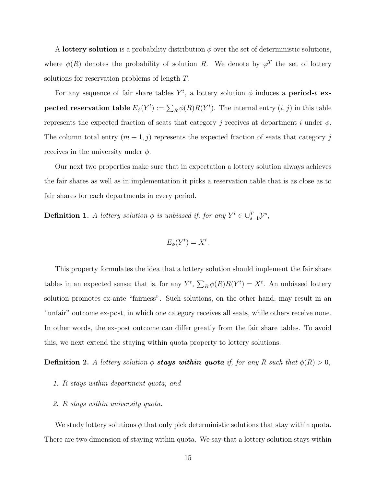A lottery solution is a probability distribution  $\phi$  over the set of deterministic solutions, where  $\phi(R)$  denotes the probability of solution R. We denote by  $\varphi^T$  the set of lottery solutions for reservation problems of length T.

For any sequence of fair share tables  $Y^t$ , a lottery solution  $\phi$  induces a **period-t** expected reservation table  $E_{\phi}(Y^t) := \sum_R \phi(R) R(Y^t)$ . The internal entry  $(i, j)$  in this table represents the expected fraction of seats that category j receives at department i under  $\phi$ . The column total entry  $(m+1, j)$  represents the expected fraction of seats that category j receives in the university under  $\phi$ .

Our next two properties make sure that in expectation a lottery solution always achieves the fair shares as well as in implementation it picks a reservation table that is as close as to fair shares for each departments in every period.

**Definition 1.** A lottery solution  $\phi$  is unbiased if, for any  $Y^t \in \bigcup_{s=1}^T \mathcal{Y}^s$ ,

$$
E_{\phi}(Y^t) = X^t.
$$

This property formulates the idea that a lottery solution should implement the fair share tables in an expected sense; that is, for any  $Y^t$ ,  $\sum_R \phi(R)R(Y^t) = X^t$ . An unbiased lottery solution promotes ex-ante "fairness". Such solutions, on the other hand, may result in an "unfair" outcome ex-post, in which one category receives all seats, while others receive none. In other words, the ex-post outcome can differ greatly from the fair share tables. To avoid this, we next extend the staying within quota property to lottery solutions.

**Definition 2.** A lottery solution  $\phi$  stays within quota if, for any R such that  $\phi(R) > 0$ ,

- 1. R stays within department quota, and
- 2. R stays within university quota.

We study lottery solutions  $\phi$  that only pick deterministic solutions that stay within quota. There are two dimension of staying within quota. We say that a lottery solution stays within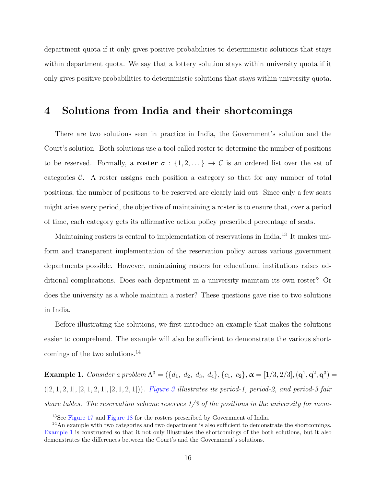department quota if it only gives positive probabilities to deterministic solutions that stays within department quota. We say that a lottery solution stays within university quota if it only gives positive probabilities to deterministic solutions that stays within university quota.

# <span id="page-15-0"></span>4 Solutions from India and their shortcomings

There are two solutions seen in practice in India, the Government's solution and the Court's solution. Both solutions use a tool called roster to determine the number of positions to be reserved. Formally, a **roster**  $\sigma : \{1, 2, \ldots\} \to \mathcal{C}$  is an ordered list over the set of categories  $\mathcal{C}$ . A roster assigns each position a category so that for any number of total positions, the number of positions to be reserved are clearly laid out. Since only a few seats might arise every period, the objective of maintaining a roster is to ensure that, over a period of time, each category gets its affirmative action policy prescribed percentage of seats.

Maintaining rosters is central to implementation of reservations in India.<sup>13</sup> It makes uniform and transparent implementation of the reservation policy across various government departments possible. However, maintaining rosters for educational institutions raises additional complications. Does each department in a university maintain its own roster? Or does the university as a whole maintain a roster? These questions gave rise to two solutions in India.

Before illustrating the solutions, we first introduce an example that makes the solutions easier to comprehend. The example will also be sufficient to demonstrate the various shortcomings of the two solutions.<sup>14</sup>

<span id="page-15-1"></span>**Example 1.** Consider a problem  $\Lambda^3 = (\{d_1, d_2, d_3, d_4\}, \{c_1, c_2\}, \boldsymbol{\alpha} = [1/3, 2/3], (\mathbf{q}^1, \mathbf{q}^2, \mathbf{q}^3) =$  $([2, 1, 2, 1], [2, 1, 2, 1], [2, 1, 2, 1])$ . [Figure 3](#page-16-0) illustrates its period-1, period-2, and period-3 fair share tables. The reservation scheme reserves  $1/3$  of the positions in the university for mem-

<sup>13</sup>See [Figure 17](#page-52-0) and [Figure 18](#page-53-0) for the rosters prescribed by Government of India.

<sup>14</sup>An example with two categories and two department is also sufficient to demonstrate the shortcomings. [Example 1](#page-15-1) is constructed so that it not only illustrates the shortcomings of the both solutions, but it also demonstrates the differences between the Court's and the Government's solutions.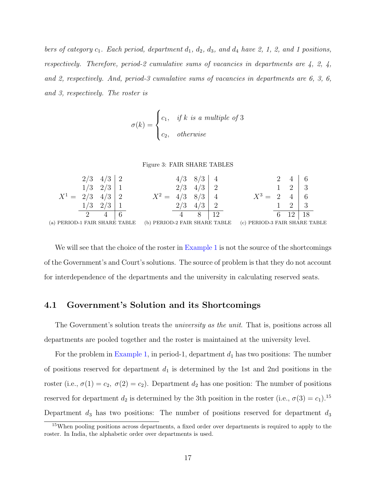bers of category  $c_1$ . Each period, department  $d_1$ ,  $d_2$ ,  $d_3$ , and  $d_4$  have 2, 1, 2, and 1 positions, respectively. Therefore, period-2 cumulative sums of vacancies in departments are  $\lambda$ , 2,  $\lambda$ , and 2, respectively. And, period-3 cumulative sums of vacancies in departments are 6, 3, 6, and 3, respectively. The roster is

$$
\sigma(k) = \begin{cases} c_1, & \text{if } k \text{ is a multiple of 3} \\ c_2, & \text{otherwise} \end{cases}
$$

#### Figure 3: FAIR SHARE TABLES

<span id="page-16-0"></span>

|                               | 2/3 | 4/<br>ີບ⊺                          |         |     |   |                           |                               |  |   |  |
|-------------------------------|-----|------------------------------------|---------|-----|---|---------------------------|-------------------------------|--|---|--|
|                               | 1/3 | $\Omega$ /2<br>$\angle$            |         | 2/3 | ര |                           |                               |  | റ |  |
| $X^1 =$ 2                     | 2/3 | 4/3                                | $X^2 =$ |     |   |                           |                               |  |   |  |
|                               | 1/3 | $\sqrt{2}$<br>$\Omega$<br>$\sim$ / |         |     |   |                           |                               |  | റ |  |
|                               |     |                                    |         |     |   |                           |                               |  |   |  |
| (a) PERIOD-1 FAIR SHARE TABLE |     |                                    |         |     |   | PERIOD-2 FAIR SHARE TABLE | (c) PERIOD-3 FAIR SHARE TABLE |  |   |  |

We will see that the choice of the roster in [Example 1](#page-15-1) is not the source of the shortcomings of the Government's and Court's solutions. The source of problem is that they do not account for interdependence of the departments and the university in calculating reserved seats.

## 4.1 Government's Solution and its Shortcomings

The Government's solution treats the *university as the unit*. That is, positions across all departments are pooled together and the roster is maintained at the university level.

For the problem in [Example 1,](#page-15-1) in period-1, department  $d_1$  has two positions: The number of positions reserved for department  $d_1$  is determined by the 1st and 2nd positions in the roster (i.e.,  $\sigma(1) = c_2$ ,  $\sigma(2) = c_2$ ). Department  $d_2$  has one position: The number of positions reserved for department  $d_2$  is determined by the 3th position in the roster (i.e.,  $\sigma(3) = c_1$ ).<sup>15</sup> Department  $d_3$  has two positions: The number of positions reserved for department  $d_3$ 

<sup>15</sup>When pooling positions across departments, a fixed order over departments is required to apply to the roster. In India, the alphabetic order over departments is used.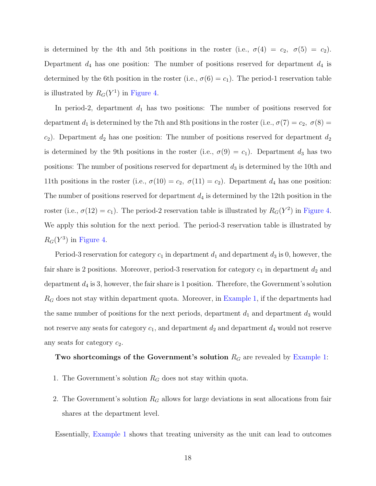is determined by the 4th and 5th positions in the roster (i.e.,  $\sigma(4) = c_2$ ,  $\sigma(5) = c_2$ ). Department  $d_4$  has one position: The number of positions reserved for department  $d_4$  is determined by the 6th position in the roster (i.e.,  $\sigma(6) = c_1$ ). The period-1 reservation table is illustrated by  $R_G(Y^1)$  in [Figure 4.](#page-18-0)

In period-2, department  $d_1$  has two positions: The number of positions reserved for department  $d_1$  is determined by the 7th and 8th positions in the roster (i.e.,  $\sigma(7) = c_2$ ,  $\sigma(8) =$  $c_2$ ). Department  $d_2$  has one position: The number of positions reserved for department  $d_2$ is determined by the 9th positions in the roster (i.e.,  $\sigma(9) = c_1$ ). Department  $d_3$  has two positions: The number of positions reserved for department  $d_3$  is determined by the 10th and 11th positions in the roster (i.e.,  $\sigma(10) = c_2$ ,  $\sigma(11) = c_2$ ). Department  $d_4$  has one position: The number of positions reserved for department  $d_4$  is determined by the 12th position in the roster (i.e.,  $\sigma(12) = c_1$ ). The period-2 reservation table is illustrated by  $R_G(Y^2)$  in [Figure 4.](#page-18-0) We apply this solution for the next period. The period-3 reservation table is illustrated by  $R_G(Y^3)$  in [Figure 4.](#page-18-0)

Period-3 reservation for category  $c_1$  in department  $d_1$  and department  $d_3$  is 0, however, the fair share is 2 positions. Moreover, period-3 reservation for category  $c_1$  in department  $d_2$  and department  $d_4$  is 3, however, the fair share is 1 position. Therefore, the Government's solution  $R_G$  does not stay within department quota. Moreover, in [Example 1,](#page-15-1) if the departments had the same number of positions for the next periods, department  $d_1$  and department  $d_3$  would not reserve any seats for category  $c_1$ , and department  $d_2$  and department  $d_4$  would not reserve any seats for category  $c_2$ .

## Two shortcomings of the Government's solution  $R_G$  are revealed by [Example 1:](#page-15-1)

- 1. The Government's solution  $R_G$  does not stay within quota.
- 2. The Government's solution  $R_G$  allows for large deviations in seat allocations from fair shares at the department level.

Essentially, [Example 1](#page-15-1) shows that treating university as the unit can lead to outcomes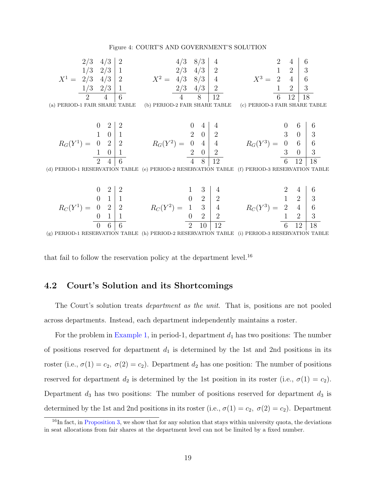#### Figure 4: COURT'S AND GOVERNMENT'S SOLUTION

<span id="page-18-0"></span>
$$
2/3 \quad 4/3 \quad 2
$$
\n
$$
X^{1} = \begin{bmatrix} 2/3 & 4/3 \\ 2/3 & 4/3 \\ 2/3 & 4/3 \\ 2 & 4/3 \end{bmatrix} \begin{bmatrix} 2 & 4/3 & 8/3 \\ 2 & 4/3 & 4/3 \\ 4 & 8/3 & 4 \\ 4 & 8 & 12 \end{bmatrix} \begin{bmatrix} 4 & 2 & 4 & 6 \\ 2 & 1 & 2 & 3 \\ 4 & 8 & 12 & 4 \\ 6 & 12 & 18 & 4 \\ 6 & 12 & 18 & 6 \\ 6 & 12 & 18 & 6 \\ 6 & 12 & 18 & 6 \\ 6 & 12 & 18 & 6 \\ 6 & 12 & 18 & 6 \\ 6 & 10 & 1 & 0 \\ 2 & 10 & 1 & 0 \\ 2 & 4 & 6 & 4 \\ 2 & 4 & 6 & 4 \\ 2 & 0 & 2 & 0 \\ 2 & 0 & 4 & 4 \\ 2 & 0 & 2 & 0 \\ 2 & 0 & 2 & 3 \\ 2 & 0 & 2 & 3 \\ 2 & 0 & 2 & 3 \\ 2 & 0 & 2 & 3 \\ 2 & 0 & 2 & 3 \\ 6 & 12 & 18 & 6 \\ 6 & 12 & 18 & 6 \\ 6 & 12 & 18 & 6 \\ 6 & 12 & 18 & 6 \\ 6 & 12 & 18 & 6 \\ 6 & 12 & 18 & 6 \\ 6 & 12 & 18 & 6 \\ 6 & 12 & 18 & 6 \\ 6 & 12 & 18 & 6 \\ 6 & 12 & 18 & 6 \\ 6 & 12 & 18 & 6 \\ 6 & 12 & 18 & 6 \\ 6 & 12 & 18 & 6 \\ 6 & 12 & 18 & 6 \\ 6 & 12 & 18 & 6 \\ 6 & 12 & 18 & 6 \\ 6 & 12 & 18 & 6 \\ 6 & 12 & 18 & 6 \\ 6 & 12 & 18 & 6 \\ 6 & 12 & 18 & 6 \\ 6 & 12 & 18 & 6 \\ 6 & 12 & 18 & 6 \\ 6 & 12 & 18 & 6 \\ 6 & 12 & 18 & 6 \\ 6 & 12 & 18 & 6 \\
$$

$$
R_C(Y^1) = \begin{array}{c|c c c c c c c c c c} 0 & 2 & 2 & 1 & 3 & 4 & 2 & 4 & 6 \ 0 & 1 & 1 & 0 & 2 & 2 & 1 & 2 & 3 \ 0 & 0 & 1 & 1 & 0 & 2 & 2 & 4 & 6 \ 0 & 0 & 6 & 6 & 2 & 2 & 0 & 12 & 0 \ \end{array}
$$

(g) PERIOD-1 RESERVATION TABLE (h) PERIOD-2 RESERVATION TABLE (i) PERIOD-3 RESERVATION TABLE

that fail to follow the reservation policy at the department level.<sup>16</sup>

# 4.2 Court's Solution and its Shortcomings

The Court's solution treats *department as the unit*. That is, positions are not pooled across departments. Instead, each department independently maintains a roster.

For the problem in [Example 1,](#page-15-1) in period-1, department  $d_1$  has two positions: The number of positions reserved for department  $d_1$  is determined by the 1st and 2nd positions in its roster (i.e.,  $\sigma(1) = c_2$ ,  $\sigma(2) = c_2$ ). Department  $d_2$  has one position: The number of positions reserved for department  $d_2$  is determined by the 1st position in its roster (i.e.,  $\sigma(1) = c_2$ ). Department  $d_3$  has two positions: The number of positions reserved for department  $d_3$  is determined by the 1st and 2nd positions in its roster (i.e.,  $\sigma(1) = c_2$ ,  $\sigma(2) = c_2$ ). Department

 $^{16}$ In fact, in [Proposition 3,](#page-22-0) we show that for any solution that stays within university quota, the deviations in seat allocations from fair shares at the department level can not be limited by a fixed number.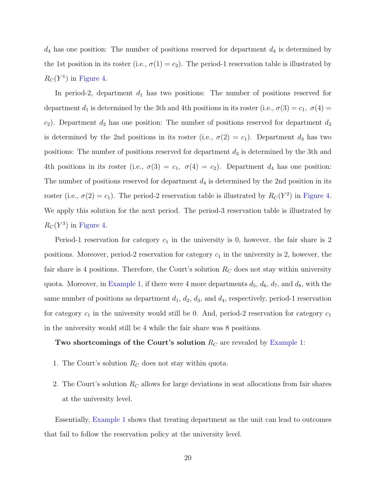$d_4$  has one position: The number of positions reserved for department  $d_4$  is determined by the 1st position in its roster (i.e.,  $\sigma(1) = c_2$ ). The period-1 reservation table is illustrated by  $R_C(Y^1)$  in [Figure 4.](#page-18-0)

In period-2, department  $d_1$  has two positions: The number of positions reserved for department  $d_1$  is determined by the 3th and 4th positions in its roster (i.e.,  $\sigma(3) = c_1$ ,  $\sigma(4) =$  $c_2$ ). Department  $d_2$  has one position: The number of positions reserved for department  $d_2$ is determined by the 2nd positions in its roster (i.e.,  $\sigma(2) = c_1$ ). Department  $d_3$  has two positions: The number of positions reserved for department  $d_3$  is determined by the 3th and 4th positions in its roster (i.e.,  $\sigma(3) = c_1$ ,  $\sigma(4) = c_2$ ). Department  $d_4$  has one position: The number of positions reserved for department  $d_4$  is determined by the 2nd position in its roster (i.e.,  $\sigma(2) = c_1$ ). The period-2 reservation table is illustrated by  $R_C(Y^2)$  in [Figure 4.](#page-18-0) We apply this solution for the next period. The period-3 reservation table is illustrated by  $R_C(Y^3)$  in [Figure 4.](#page-18-0)

Period-1 reservation for category  $c_1$  in the university is 0, however, the fair share is 2 positions. Moreover, period-2 reservation for category  $c_1$  in the university is 2, however, the fair share is 4 positions. Therefore, the Court's solution  $R_C$  does not stay within university quota. Moreover, in [Example 1,](#page-15-1) if there were 4 more departments  $d_5$ ,  $d_6$ ,  $d_7$ , and  $d_8$ , with the same number of positions as department  $d_1, d_2, d_3$ , and  $d_4$ , respectively, period-1 reservation for category  $c_1$  in the university would still be 0. And, period-2 reservation for category  $c_1$ in the university would still be 4 while the fair share was 8 positions.

# Two shortcomings of the Court's solution  $R_C$  are revealed by [Example 1:](#page-15-1)

- 1. The Court's solution  $R_C$  does not stay within quota.
- 2. The Court's solution  $R<sub>C</sub>$  allows for large deviations in seat allocations from fair shares at the university level.

Essentially, [Example 1](#page-15-1) shows that treating department as the unit can lead to outcomes that fail to follow the reservation policy at the university level.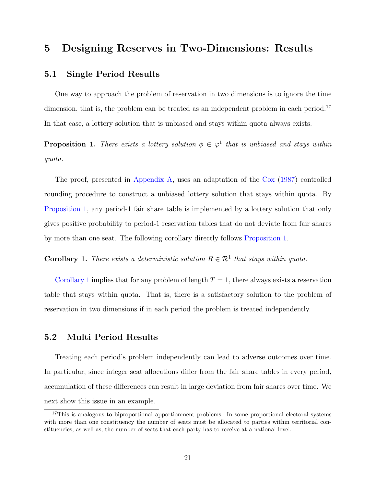# 5 Designing Reserves in Two-Dimensions: Results

## <span id="page-20-4"></span>5.1 Single Period Results

One way to approach the problem of reservation in two dimensions is to ignore the time dimension, that is, the problem can be treated as an independent problem in each period.<sup>17</sup> In that case, a lottery solution that is unbiased and stays within quota always exists.

<span id="page-20-1"></span>**Proposition 1.** There exists a lottery solution  $\phi \in \varphi^1$  that is unbiased and stays within quota.

The proof, presented in [Appendix A,](#page-35-0) uses an adaptation of the [Cox](#page-33-0) [\(1987\)](#page-33-0) controlled rounding procedure to construct a unbiased lottery solution that stays within quota. By [Proposition 1,](#page-20-1) any period-1 fair share table is implemented by a lottery solution that only gives positive probability to period-1 reservation tables that do not deviate from fair shares by more than one seat. The following corollary directly follows [Proposition 1.](#page-20-1)

<span id="page-20-2"></span>**Corollary 1.** There exists a deterministic solution  $R \in \mathcal{R}^1$  that stays within quota.

[Corollary 1](#page-20-2) implies that for any problem of length  $T = 1$ , there always exists a reservation table that stays within quota. That is, there is a satisfactory solution to the problem of reservation in two dimensions if in each period the problem is treated independently.

# <span id="page-20-0"></span>5.2 Multi Period Results

Treating each period's problem independently can lead to adverse outcomes over time. In particular, since integer seat allocations differ from the fair share tables in every period, accumulation of these differences can result in large deviation from fair shares over time. We next show this issue in an example.

<span id="page-20-3"></span> $17$ This is analogous to biproportional apportionment problems. In some proportional electoral systems with more than one constituency the number of seats must be allocated to parties within territorial constituencies, as well as, the number of seats that each party has to receive at a national level.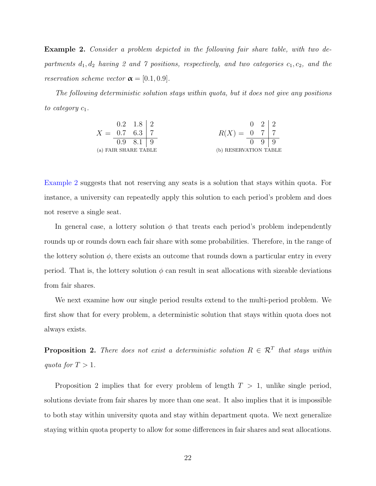Example 2. Consider a problem depicted in the following fair share table, with two departments  $d_1, d_2$  having 2 and 7 positions, respectively, and two categories  $c_1, c_2$ , and the reservation scheme vector  $\boldsymbol{\alpha} = [0.1, 0.9].$ 

The following deterministic solution stays within quota, but it does not give any positions to category  $c_1$ .

$$
X = \begin{array}{cc|cc} 0.2 & 1.8 & 2 & & 0 & 2 & 2 \\ 0.7 & 6.3 & 7 & & & R(X) = \begin{array}{cc|cc} 0 & 2 & 2 & & 0 \\ 0.9 & 8.1 & 9 & & & 0 & 9 \\ \end{array} \end{array}
$$
  
(a) FAIR SHARE TABLE  
(b) RESERVATION TABLE

[Example 2](#page-20-3) suggests that not reserving any seats is a solution that stays within quota. For instance, a university can repeatedly apply this solution to each period's problem and does not reserve a single seat.

In general case, a lottery solution  $\phi$  that treats each period's problem independently rounds up or rounds down each fair share with some probabilities. Therefore, in the range of the lottery solution  $\phi$ , there exists an outcome that rounds down a particular entry in every period. That is, the lottery solution  $\phi$  can result in seat allocations with sizeable deviations from fair shares.

We next examine how our single period results extend to the multi-period problem. We first show that for every problem, a deterministic solution that stays within quota does not always exists.

<span id="page-21-0"></span>**Proposition 2.** There does not exist a deterministic solution  $R \in \mathcal{R}^T$  that stays within quota for  $T > 1$ .

Proposition 2 implies that for every problem of length  $T > 1$ , unlike single period, solutions deviate from fair shares by more than one seat. It also implies that it is impossible to both stay within university quota and stay within department quota. We next generalize staying within quota property to allow for some differences in fair shares and seat allocations.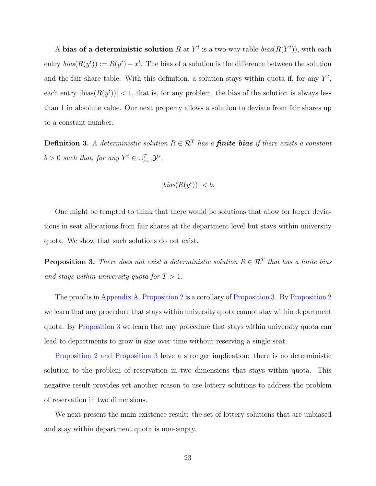A bias of a deterministic solution R at  $Y^t$  is a two-way table  $bias(R(Y^t))$ , with each entry  $bias(R(y^t)) := R(y^t) - x^t$ . The bias of a solution is the difference between the solution and the fair share table. With this definition, a solution stays within quota if, for any  $Y^t$ , each entry  $|\text{bias}(R(y^t))|$  < 1, that is, for any problem, the bias of the solution is always less than 1 in absolute value. Our next property allows a solution to deviate from fair shares up to a constant number.

**Definition 3.** A deterministic solution  $R \in \mathcal{R}^T$  has a **finite bias** if there exists a constant  $b > 0$  such that, for any  $Y^t \in \bigcup_{s=1}^T \mathcal{Y}^s$ ,

$$
|bias(R(y^t))| < b.
$$

One might be tempted to think that there would be solutions that allow for larger deviations in seat allocations from fair shares at the department level but stays within university quota. We show that such solutions do not exist.

<span id="page-22-0"></span>**Proposition 3.** There does not exist a deterministic solution  $R \in \mathcal{R}^T$  that has a finite bias and stays within university quota for  $T > 1$ .

The proof is in [Appendix A.](#page-35-0) [Proposition 2](#page-21-0) is a corollary of [Proposition 3.](#page-22-0) By [Proposition 2](#page-21-0) we learn that any procedure that stays within university quota cannot stay within department quota. By [Proposition 3](#page-22-0) we learn that any procedure that stays within university quota can lead to departments to grow in size over time without reserving a single seat.

[Proposition 2](#page-21-0) and [Proposition 3](#page-22-0) have a stronger implication: there is no deterministic solution to the problem of reservation in two dimensions that stays within quota. This negative result provides yet another reason to use lottery solutions to address the problem of reservation in two dimensions.

<span id="page-22-1"></span>We next present the main existence result: the set of lottery solutions that are unbiased and stay within department quota is non-empty.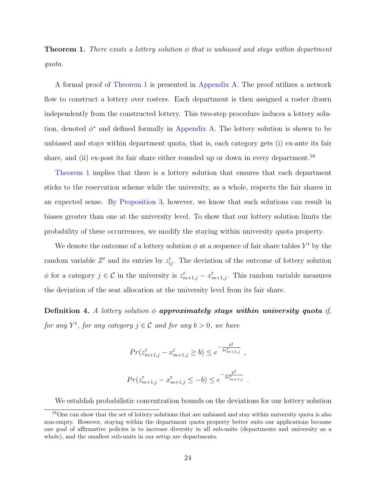**Theorem 1.** There exists a lottery solution  $\phi$  that is unbiased and stays within department quota.

A formal proof of [Theorem 1](#page-22-1) is presented in [Appendix A.](#page-35-0) The proof utilizes a network flow to construct a lottery over rosters. Each department is then assigned a roster drawn independently from the constructed lottery. This two-step procedure induces a lottery solution, denoted  $\phi^*$  and defined formally in [Appendix A.](#page-35-0) The lottery solution is shown to be unbiased and stays within department quota, that is, each category gets (i) ex-ante its fair share, and (ii) ex-post its fair share either rounded up or down in every department.<sup>18</sup>

[Theorem 1](#page-22-1) implies that there is a lottery solution that ensures that each department sticks to the reservation scheme while the university, as a whole, respects the fair shares in an expected sense. By [Proposition 3,](#page-22-0) however, we know that such solutions can result in biases greater than one at the university level. To show that our lottery solution limits the probability of these occurrences, we modify the staying within university quota property.

We denote the outcome of a lottery solution  $\phi$  at a sequence of fair share tables  $Y^t$  by the random variable  $Z<sup>t</sup>$  and its entries by  $z_{ij}^t$ . The deviation of the outcome of lottery solution  $\phi$  for a category  $j \in \mathcal{C}$  in the university is  $z_{m+1,j}^t - x_{m+1,j}^t$ . This random variable measures the deviation of the seat allocation at the university level from its fair share.

<span id="page-23-0"></span>Definition 4. A lottery solution  $\phi$  approximately stays within university quota if, for any  $Y^t$ , for any category  $j \in \mathcal{C}$  and for any  $b > 0$ , we have

$$
Pr(z_{m+1,j}^t - x_{m+1,j}^t \ge b) \le e^{-\frac{b^2}{3x_{m+1,j}^t}},
$$
  

$$
Pr(z_{m+1,j}^t - x_{m+1,j}^t \le -b) \le e^{-\frac{b^2}{2x_{m+1,j}^t}}.
$$

We establish probabilistic concentration bounds on the deviations for our lottery solution

<sup>&</sup>lt;sup>18</sup>One can show that the set of lottery solutions that are unbiased and stay within university quota is also non-empty. However, staying within the department quota property better suits our applications because one goal of affirmative policies is to increase diversity in all sub-units (departments and university as a whole), and the smallest sub-units in our setup are departments.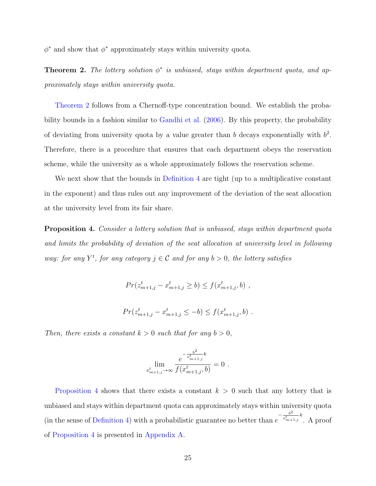<span id="page-24-0"></span> $\phi^*$  and show that  $\phi^*$  approximately stays within university quota.

**Theorem 2.** The lottery solution  $\phi^*$  is unbiased, stays within department quota, and approximately stays within university quota.

[Theorem 2](#page-24-0) follows from a Chernoff-type concentration bound. We establish the probability bounds in a fashion similar to [Gandhi et al.](#page-33-8) [\(2006\)](#page-33-8). By this property, the probability of deviating from university quota by a value greater than b decays exponentially with  $b^2$ . Therefore, there is a procedure that ensures that each department obeys the reservation scheme, while the university as a whole approximately follows the reservation scheme.

We next show that the bounds in [Definition 4](#page-23-0) are tight (up to a multiplicative constant in the exponent) and thus rules out any improvement of the deviation of the seat allocation at the university level from its fair share.

<span id="page-24-1"></span>Proposition 4. Consider a lottery solution that is unbiased, stays within department quota and limits the probability of deviation of the seat allocation at university level in following way: for any  $Y^t$ , for any category  $j \in \mathcal{C}$  and for any  $b > 0$ , the lottery satisfies

$$
Pr(z_{m+1,j}^t - x_{m+1,j}^t \ge b) \le f(x_{m+1,j}^t, b) ,
$$

$$
Pr(z_{m+1,j}^t - x_{m+1,j}^t \le -b) \le f(x_{m+1,j}^t, b) .
$$

Then, there exists a constant  $k > 0$  such that for any  $b > 0$ ,

$$
\lim_{x_{m+1,j}^t \to \infty} \frac{e^{-\frac{b^2}{x_{m+1,j}^t}k}}{f(x_{m+1,j}^t, b)} = 0.
$$

[Proposition 4](#page-24-1) shows that there exists a constant  $k > 0$  such that any lottery that is unbiased and stays within department quota can approximately stays within university quota (in the sense of [Definition 4\)](#page-23-0) with a probabilistic guarantee no better than  $e$  $-\frac{b^2}{x_{m+1,j}^t}k$ . A proof of [Proposition 4](#page-24-1) is presented in [Appendix A.](#page-35-0)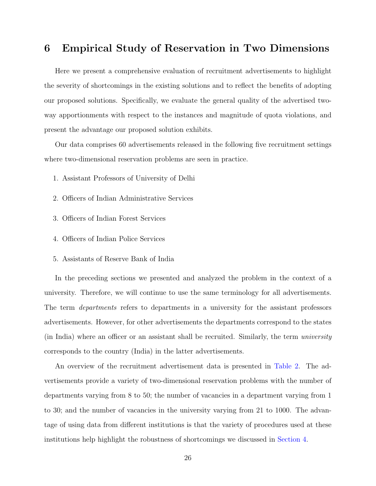# <span id="page-25-0"></span>6 Empirical Study of Reservation in Two Dimensions

Here we present a comprehensive evaluation of recruitment advertisements to highlight the severity of shortcomings in the existing solutions and to reflect the benefits of adopting our proposed solutions. Specifically, we evaluate the general quality of the advertised twoway apportionments with respect to the instances and magnitude of quota violations, and present the advantage our proposed solution exhibits.

Our data comprises 60 advertisements released in the following five recruitment settings where two-dimensional reservation problems are seen in practice.

- 1. Assistant Professors of University of Delhi
- 2. Officers of Indian Administrative Services
- 3. Officers of Indian Forest Services
- 4. Officers of Indian Police Services
- 5. Assistants of Reserve Bank of India

In the preceding sections we presented and analyzed the problem in the context of a university. Therefore, we will continue to use the same terminology for all advertisements. The term *departments* refers to departments in a university for the assistant professors advertisements. However, for other advertisements the departments correspond to the states (in India) where an officer or an assistant shall be recruited. Similarly, the term university corresponds to the country (India) in the latter advertisements.

An overview of the recruitment advertisement data is presented in [Table 2.](#page-26-0) The advertisements provide a variety of two-dimensional reservation problems with the number of departments varying from 8 to 50; the number of vacancies in a department varying from 1 to 30; and the number of vacancies in the university varying from 21 to 1000. The advantage of using data from different institutions is that the variety of procedures used at these institutions help highlight the robustness of shortcomings we discussed in [Section 4.](#page-15-0)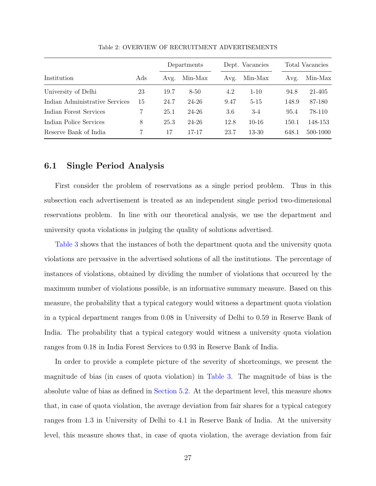<span id="page-26-0"></span>

|                                |     |      | Departments |      | Dept. Vacancies |       | Total Vacancies |  |  |
|--------------------------------|-----|------|-------------|------|-----------------|-------|-----------------|--|--|
| Institution                    | Ads | Avg. | Min-Max     | Avg. | Min-Max         | Avg.  | Min-Max         |  |  |
| University of Delhi            | 23  | 19.7 | $8 - 50$    | 4.2  | $1 - 10$        | 94.8  | 21-405          |  |  |
| Indian Administrative Services | 15  | 24.7 | 24-26       | 9.47 | $5 - 15$        | 148.9 | 87-180          |  |  |
| Indian Forest Services         |     | 25.1 | 24-26       | 3.6  | $-3-4$          | 95.4  | 78-110          |  |  |
| Indian Police Services         | 8   | 25.3 | 24-26       | 12.8 | $10-16$         | 150.1 | 148-153         |  |  |
| Reserve Bank of India          | 7   | 17   | 17-17       | 23.7 | $13 - 30$       | 648.1 | 500-1000        |  |  |

Table 2: OVERVIEW OF RECRUITMENT ADVERTISEMENTS

## 6.1 Single Period Analysis

First consider the problem of reservations as a single period problem. Thus in this subsection each advertisement is treated as an independent single period two-dimensional reservations problem. In line with our theoretical analysis, we use the department and university quota violations in judging the quality of solutions advertised.

[Table 3](#page-27-0) shows that the instances of both the department quota and the university quota violations are pervasive in the advertised solutions of all the institutions. The percentage of instances of violations, obtained by dividing the number of violations that occurred by the maximum number of violations possible, is an informative summary measure. Based on this measure, the probability that a typical category would witness a department quota violation in a typical department ranges from 0.08 in University of Delhi to 0.59 in Reserve Bank of India. The probability that a typical category would witness a university quota violation ranges from 0.18 in India Forest Services to 0.93 in Reserve Bank of India.

In order to provide a complete picture of the severity of shortcomings, we present the magnitude of bias (in cases of quota violation) in [Table 3.](#page-27-0) The magnitude of bias is the absolute value of bias as defined in [Section 5.2.](#page-20-0) At the department level, this measure shows that, in case of quota violation, the average deviation from fair shares for a typical category ranges from 1.3 in University of Delhi to 4.1 in Reserve Bank of India. At the university level, this measure shows that, in case of quota violation, the average deviation from fair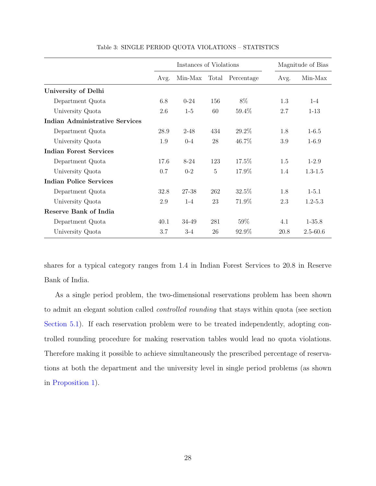<span id="page-27-0"></span>

|                                |      | Instances of Violations |                |                  |      | Magnitude of Bias |
|--------------------------------|------|-------------------------|----------------|------------------|------|-------------------|
|                                | Avg. | Min-Max                 |                | Total Percentage | Avg. | Min-Max           |
| University of Delhi            |      |                         |                |                  |      |                   |
| Department Quota               | 6.8  | $0 - 24$                | 156            | 8%               | 1.3  | $1 - 4$           |
| University Quota               | 2.6  | $1-5$                   | 60             | 59.4%            | 2.7  | $1 - 13$          |
| Indian Administrative Services |      |                         |                |                  |      |                   |
| Department Quota               | 28.9 | $2 - 48$                | 434            | 29.2\%           | 1.8  | $1 - 6.5$         |
| University Quota               | 1.9  | $0 - 4$                 | 28             | 46.7%            | 3.9  | $1 - 6.9$         |
| Indian Forest Services         |      |                         |                |                  |      |                   |
| Department Quota               | 17.6 | $8 - 24$                | 123            | 17.5%            | 1.5  | $1-2.9$           |
| University Quota               | 0.7  | $0 - 2$                 | $\overline{5}$ | 17.9%            | 1.4  | $1.3 - 1.5$       |
| Indian Police Services         |      |                         |                |                  |      |                   |
| Department Quota               | 32.8 | 27-38                   | 262            | 32.5%            | 1.8  | $1 - 5.1$         |
| University Quota               | 2.9  | $1 - 4$                 | 23             | 71.9%            | 2.3  | $1.2 - 5.3$       |
| Reserve Bank of India          |      |                         |                |                  |      |                   |
| Department Quota               | 40.1 | 34-49                   | 281            | 59%              | 4.1  | $1 - 35.8$        |
| University Quota               | 3.7  | $3-4$                   | 26             | 92.9%            | 20.8 | $2.5 - 60.6$      |

Table 3: SINGLE PERIOD QUOTA VIOLATIONS – STATISTICS

shares for a typical category ranges from 1.4 in Indian Forest Services to 20.8 in Reserve Bank of India.

As a single period problem, the two-dimensional reservations problem has been shown to admit an elegant solution called controlled rounding that stays within quota (see section [Section 5.1\)](#page-20-4). If each reservation problem were to be treated independently, adopting controlled rounding procedure for making reservation tables would lead no quota violations. Therefore making it possible to achieve simultaneously the prescribed percentage of reservations at both the department and the university level in single period problems (as shown in [Proposition 1\)](#page-20-1).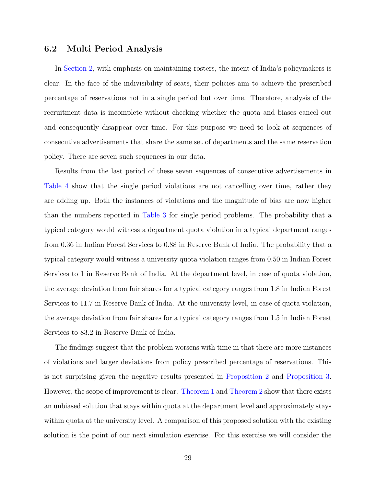## 6.2 Multi Period Analysis

In [Section 2,](#page-7-0) with emphasis on maintaining rosters, the intent of India's policymakers is clear. In the face of the indivisibility of seats, their policies aim to achieve the prescribed percentage of reservations not in a single period but over time. Therefore, analysis of the recruitment data is incomplete without checking whether the quota and biases cancel out and consequently disappear over time. For this purpose we need to look at sequences of consecutive advertisements that share the same set of departments and the same reservation policy. There are seven such sequences in our data.

Results from the last period of these seven sequences of consecutive advertisements in [Table 4](#page-29-0) show that the single period violations are not cancelling over time, rather they are adding up. Both the instances of violations and the magnitude of bias are now higher than the numbers reported in [Table 3](#page-27-0) for single period problems. The probability that a typical category would witness a department quota violation in a typical department ranges from 0.36 in Indian Forest Services to 0.88 in Reserve Bank of India. The probability that a typical category would witness a university quota violation ranges from 0.50 in Indian Forest Services to 1 in Reserve Bank of India. At the department level, in case of quota violation, the average deviation from fair shares for a typical category ranges from 1.8 in Indian Forest Services to 11.7 in Reserve Bank of India. At the university level, in case of quota violation, the average deviation from fair shares for a typical category ranges from 1.5 in Indian Forest Services to 83.2 in Reserve Bank of India.

The findings suggest that the problem worsens with time in that there are more instances of violations and larger deviations from policy prescribed percentage of reservations. This is not surprising given the negative results presented in [Proposition 2](#page-21-0) and [Proposition 3.](#page-22-0) However, the scope of improvement is clear. [Theorem 1](#page-22-1) and [Theorem 2](#page-24-0) show that there exists an unbiased solution that stays within quota at the department level and approximately stays within quota at the university level. A comparison of this proposed solution with the existing solution is the point of our next simulation exercise. For this exercise we will consider the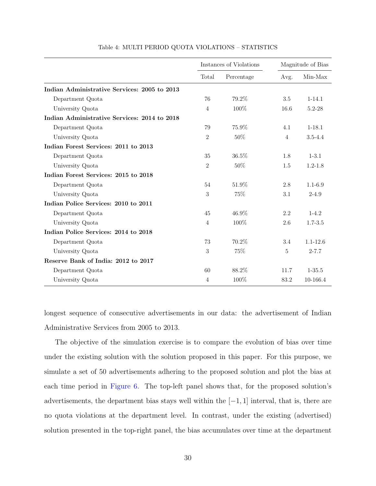<span id="page-29-0"></span>

|                                              |                | Instances of Violations |                | Magnitude of Bias |
|----------------------------------------------|----------------|-------------------------|----------------|-------------------|
|                                              | Total          | Percentage              | Avg.           | Min-Max           |
| Indian Administrative Services: 2005 to 2013 |                |                         |                |                   |
| Department Quota                             | 76             | 79.2%                   | 3.5            | $1 - 14.1$        |
| University Quota                             | $\overline{4}$ | 100%                    | 16.6           | $5.2 - 28$        |
| Indian Administrative Services: 2014 to 2018 |                |                         |                |                   |
| Department Quota                             | 79             | 75.9%                   | 4.1            | $1 - 18.1$        |
| University Quota                             | $\overline{2}$ | 50%                     | $\overline{4}$ | $3.5 - 4.4$       |
| Indian Forest Services: 2011 to 2013         |                |                         |                |                   |
| Department Quota                             | 35             | 36.5%                   | 1.8            | $1 - 3.1$         |
| University Quota                             | $\overline{2}$ | 50%                     | 1.5            | $1.2 - 1.8$       |
| Indian Forest Services: 2015 to 2018         |                |                         |                |                   |
| Department Quota                             | 54             | 51.9%                   | 2.8            | $1.1 - 6.9$       |
| University Quota                             | 3              | 75%                     | 3.1            | $2 - 4.9$         |
| Indian Police Services: 2010 to 2011         |                |                         |                |                   |
| Department Quota                             | 45             | $46.9\%$                | 2.2            | $1-4.2$           |
| University Quota                             | $\overline{4}$ | 100%                    | 2.6            | $1.7 - 3.5$       |
| Indian Police Services: 2014 to 2018         |                |                         |                |                   |
| Department Quota                             | 73             | 70.2%                   | 3.4            | $1.1 - 12.6$      |
| University Quota                             | 3              | 75%                     | $\overline{5}$ | $2 - 7.7$         |
| Reserve Bank of India: 2012 to 2017          |                |                         |                |                   |
| Department Quota                             | 60             | 88.2%                   | 11.7           | $1 - 35.5$        |
| University Quota                             | $\overline{4}$ | 100%                    | 83.2           | 10-166.4          |

#### Table 4: MULTI PERIOD QUOTA VIOLATIONS – STATISTICS

longest sequence of consecutive advertisements in our data: the advertisement of Indian Administrative Services from 2005 to 2013.

The objective of the simulation exercise is to compare the evolution of bias over time under the existing solution with the solution proposed in this paper. For this purpose, we simulate a set of 50 advertisements adhering to the proposed solution and plot the bias at each time period in [Figure 6.](#page-30-0) The top-left panel shows that, for the proposed solution's advertisements, the department bias stays well within the  $[-1, 1]$  interval, that is, there are no quota violations at the department level. In contrast, under the existing (advertised) solution presented in the top-right panel, the bias accumulates over time at the department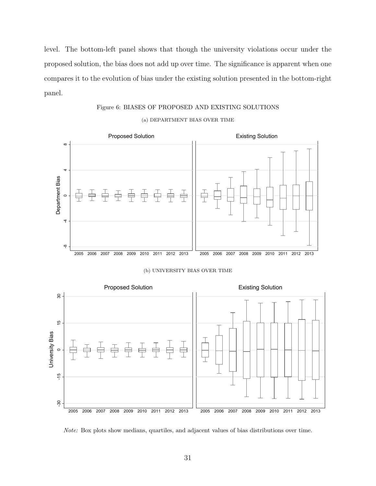level. The bottom-left panel shows that though the university violations occur under the proposed solution, the bias does not add up over time. The significance is apparent when one compares it to the evolution of bias under the existing solution presented in the bottom-right panel.

Figure 6: BIASES OF PROPOSED AND EXISTING SOLUTIONS

# <span id="page-30-0"></span>-8 -4 <sup>0</sup> <sup>4</sup> <sup>8</sup> 2005 2006 2007 2008 2009 2010 2011 2012 2013 2005 2006 2007 2008 2009 2010 2011 2012 2013 Proposed Solution **Existing Solution** Department Bias







Note: Box plots show medians, quartiles, and adjacent values of bias distributions over time.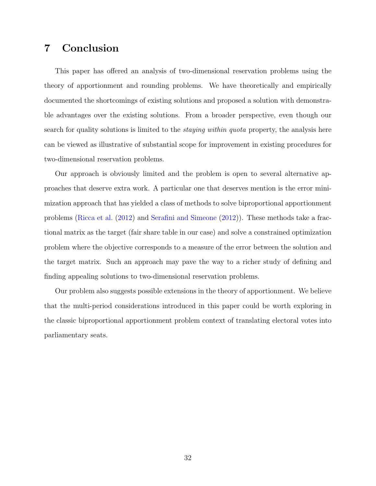# 7 Conclusion

This paper has offered an analysis of two-dimensional reservation problems using the theory of apportionment and rounding problems. We have theoretically and empirically documented the shortcomings of existing solutions and proposed a solution with demonstrable advantages over the existing solutions. From a broader perspective, even though our search for quality solutions is limited to the *staying within quota* property, the analysis here can be viewed as illustrative of substantial scope for improvement in existing procedures for two-dimensional reservation problems.

Our approach is obviously limited and the problem is open to several alternative approaches that deserve extra work. A particular one that deserves mention is the error minimization approach that has yielded a class of methods to solve biproportional apportionment problems [\(Ricca et al.](#page-34-7) [\(2012\)](#page-34-7) and [Serafini and Simeone](#page-34-8) [\(2012\)](#page-34-8)). These methods take a fractional matrix as the target (fair share table in our case) and solve a constrained optimization problem where the objective corresponds to a measure of the error between the solution and the target matrix. Such an approach may pave the way to a richer study of defining and finding appealing solutions to two-dimensional reservation problems.

Our problem also suggests possible extensions in the theory of apportionment. We believe that the multi-period considerations introduced in this paper could be worth exploring in the classic biproportional apportionment problem context of translating electoral votes into parliamentary seats.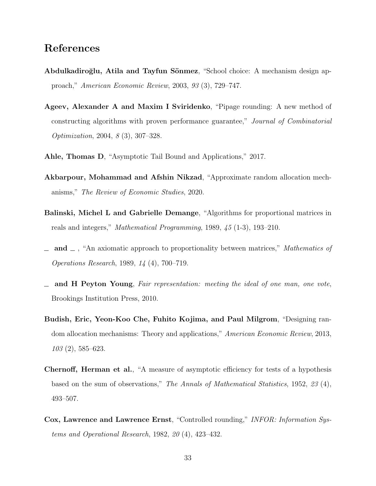# References

- <span id="page-32-4"></span>Abdulkadiroğlu, Atila and Tayfun Sönmez, "School choice: A mechanism design approach," American Economic Review, 2003, 93 (3), 729–747.
- <span id="page-32-5"></span>Ageev, Alexander A and Maxim I Sviridenko, "Pipage rounding: A new method of constructing algorithms with proven performance guarantee," Journal of Combinatorial Optimization, 2004, 8 (3), 307–328.
- <span id="page-32-9"></span><span id="page-32-7"></span>Ahle, Thomas D, "Asymptotic Tail Bound and Applications," 2017.
- Akbarpour, Mohammad and Afshin Nikzad, "Approximate random allocation mechanisms," The Review of Economic Studies, 2020.
- <span id="page-32-1"></span>Balinski, Michel L and Gabrielle Demange, "Algorithms for proportional matrices in reals and integers," Mathematical Programming, 1989, 45 (1-3), 193–210.
- <span id="page-32-2"></span> $\Box$  and  $\Box$ , "An axiomatic approach to proportionality between matrices," Mathematics of Operations Research, 1989, 14 (4), 700–719.
- <span id="page-32-0"></span>and H Peyton Young, Fair representation: meeting the ideal of one man, one vote, Brookings Institution Press, 2010.
- <span id="page-32-6"></span>Budish, Eric, Yeon-Koo Che, Fuhito Kojima, and Paul Milgrom, "Designing random allocation mechanisms: Theory and applications," American Economic Review, 2013, 103 (2), 585–623.
- <span id="page-32-8"></span>Chernoff, Herman et al., "A measure of asymptotic efficiency for tests of a hypothesis based on the sum of observations," The Annals of Mathematical Statistics, 1952, 23 (4), 493–507.
- <span id="page-32-3"></span>Cox, Lawrence and Lawrence Ernst, "Controlled rounding," INFOR: Information Systems and Operational Research, 1982, 20 (4), 423–432.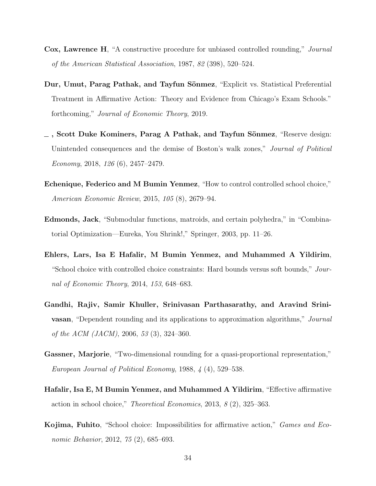- <span id="page-33-0"></span>Cox, Lawrence H, "A constructive procedure for unbiased controlled rounding," Journal of the American Statistical Association, 1987, 82 (398), 520–524.
- <span id="page-33-6"></span>Dur, Umut, Parag Pathak, and Tayfun Sönmez, "Explicit vs. Statistical Preferential Treatment in Affirmative Action: Theory and Evidence from Chicago's Exam Schools." forthcoming," Journal of Economic Theory, 2019.
- <span id="page-33-5"></span> $\sim$ , Scott Duke Kominers, Parag A Pathak, and Tayfun Sönmez, "Reserve design: Unintended consequences and the demise of Boston's walk zones," Journal of Political Economy, 2018, 126 (6), 2457–2479.
- <span id="page-33-4"></span>Echenique, Federico and M Bumin Yenmez, "How to control controlled school choice," American Economic Review, 2015, 105 (8), 2679–94.
- <span id="page-33-9"></span>Edmonds, Jack, "Submodular functions, matroids, and certain polyhedra," in "Combinatorial Optimization—Eureka, You Shrink!," Springer, 2003, pp. 11–26.
- <span id="page-33-3"></span>Ehlers, Lars, Isa E Hafalir, M Bumin Yenmez, and Muhammed A Yildirim, "School choice with controlled choice constraints: Hard bounds versus soft bounds," Journal of Economic Theory, 2014, 153, 648–683.
- <span id="page-33-8"></span>Gandhi, Rajiv, Samir Khuller, Srinivasan Parthasarathy, and Aravind Srini**vasan**, "Dependent rounding and its applications to approximation algorithms," Journal of the ACM (JACM), 2006, 53 (3), 324–360.
- <span id="page-33-7"></span>Gassner, Marjorie, "Two-dimensional rounding for a quasi-proportional representation," European Journal of Political Economy, 1988, 4 (4), 529–538.
- <span id="page-33-2"></span>Hafalir, Isa E, M Bumin Yenmez, and Muhammed A Yildirim, "Effective affirmative action in school choice," Theoretical Economics, 2013, 8 (2), 325–363.
- <span id="page-33-1"></span>Kojima, Fuhito, "School choice: Impossibilities for affirmative action," Games and Economic Behavior, 2012, 75 (2), 685–693.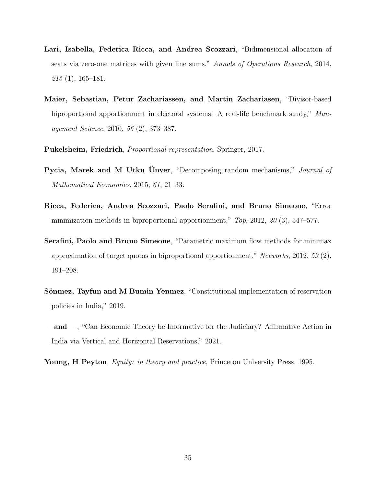- <span id="page-34-4"></span>Lari, Isabella, Federica Ricca, and Andrea Scozzari, "Bidimensional allocation of seats via zero-one matrices with given line sums," Annals of Operations Research, 2014,  $215(1), 165-181.$
- <span id="page-34-3"></span>Maier, Sebastian, Petur Zachariassen, and Martin Zachariasen, "Divisor-based biproportional apportionment in electoral systems: A real-life benchmark study," Management Science, 2010, 56 (2), 373–387.
- <span id="page-34-6"></span>Pukelsheim, Friedrich, Proportional representation, Springer, 2017.
- <span id="page-34-5"></span>Pycia, Marek and M Utku Unver, "Decomposing random mechanisms," Journal of Mathematical Economics, 2015, 61, 21–33.
- <span id="page-34-7"></span>Ricca, Federica, Andrea Scozzari, Paolo Serafini, and Bruno Simeone, "Error minimization methods in biproportional apportionment,"  $Top$ , 2012, 20 (3), 547–577.
- <span id="page-34-8"></span>Serafini, Paolo and Bruno Simeone, "Parametric maximum flow methods for minimax approximation of target quotas in biproportional apportionment," Networks, 2012, 59 (2), 191–208.
- <span id="page-34-0"></span>Sönmez, Tayfun and M Bumin Yenmez, "Constitutional implementation of reservation policies in India," 2019.
- <span id="page-34-1"></span> $\Box$  and  $\Box$ , "Can Economic Theory be Informative for the Judiciary? Affirmative Action in India via Vertical and Horizontal Reservations," 2021.
- <span id="page-34-2"></span>Young, H Peyton, *Equity: in theory and practice*, Princeton University Press, 1995.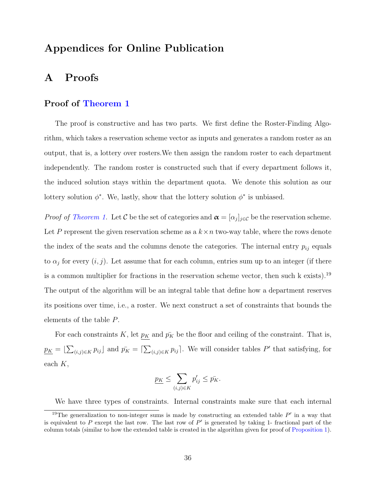# Appendices for Online Publication

# <span id="page-35-0"></span>A Proofs

## Proof of [Theorem 1](#page-22-1)

The proof is constructive and has two parts. We first define the Roster-Finding Algorithm, which takes a reservation scheme vector as inputs and generates a random roster as an output, that is, a lottery over rosters.We then assign the random roster to each department independently. The random roster is constructed such that if every department follows it, the induced solution stays within the department quota. We denote this solution as our lottery solution  $\phi^*$ . We, lastly, show that the lottery solution  $\phi^*$  is unbiased.

*Proof of [Theorem 1.](#page-22-1)* Let C be the set of categories and  $\boldsymbol{\alpha} = [\alpha_j]_{j \in \mathcal{C}}$  be the reservation scheme. Let P represent the given reservation scheme as a  $k \times n$  two-way table, where the rows denote the index of the seats and the columns denote the categories. The internal entry  $p_{ij}$  equals to  $\alpha_j$  for every  $(i, j)$ . Let assume that for each column, entries sum up to an integer (if there is a common multiplier for fractions in the reservation scheme vector, then such k exists).<sup>19</sup> The output of the algorithm will be an integral table that define how a department reserves its positions over time, i.e., a roster. We next construct a set of constraints that bounds the elements of the table P.

For each constraints K, let  $p_K$  and  $\bar{p_K}$  be the floor and ceiling of the constraint. That is,  $p_K = \left[\sum_{(i,j)\in K} p_{ij}\right]$  and  $\bar{p_K} = \left[\sum_{(i,j)\in K} p_{ij}\right]$ . We will consider tables P' that satisfying, for each  $K$ ,

$$
\underline{p_K} \le \sum_{(i,j)\in K} p'_{ij} \le \bar{p_K}.
$$

We have three types of constraints. Internal constraints make sure that each internal

<sup>&</sup>lt;sup>19</sup>The generalization to non-integer sums is made by constructing an extended table  $P'$  in a way that is equivalent to P except the last row. The last row of  $P'$  is generated by taking 1- fractional part of the column totals (similar to how the extended table is created in the algorithm given for proof of [Proposition 1\)](#page-20-1).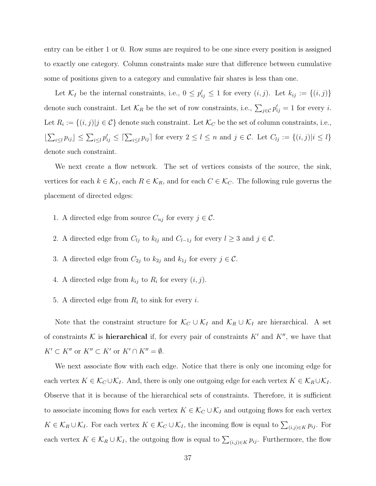entry can be either 1 or 0. Row sums are required to be one since every position is assigned to exactly one category. Column constraints make sure that difference between cumulative some of positions given to a category and cumulative fair shares is less than one.

Let  $\mathcal{K}_I$  be the internal constraints, i.e.,  $0 \leq p'_{ij} \leq 1$  for every  $(i, j)$ . Let  $k_{ij} := \{(i, j)\}\$ denote such constraint. Let  $\mathcal{K}_R$  be the set of row constraints, i.e.,  $\sum_{j\in\mathcal{C}} p'_{ij} = 1$  for every *i*. Let  $R_i := \{(i, j) | j \in \mathcal{C}\}\$  denote such constraint. Let  $\mathcal{K}_C$  be the set of column constraints, i.e.,  $\left| \sum_{i\leq l} p_{ij} \right| \leq \sum_{i\leq l} p'_{ij} \leq \left[ \sum_{i\leq l} p_{ij} \right]$  for every  $2 \leq l \leq n$  and  $j \in \mathcal{C}$ . Let  $C_{lj} := \{(i,j) | i \leq l\}$ denote such constraint.

We next create a flow network. The set of vertices consists of the source, the sink, vertices for each  $k \in \mathcal{K}_I$ , each  $R \in \mathcal{K}_R$ , and for each  $C \in \mathcal{K}_C$ . The following rule governs the placement of directed edges:

- 1. A directed edge from source  $C_{nj}$  for every  $j \in \mathcal{C}$ .
- 2. A directed edge from  $C_{lj}$  to  $k_{lj}$  and  $C_{l-1j}$  for every  $l \geq 3$  and  $j \in \mathcal{C}$ .
- 3. A directed edge from  $C_{2j}$  to  $k_{2j}$  and  $k_{1j}$  for every  $j \in \mathcal{C}$ .
- 4. A directed edge from  $k_{ij}$  to  $R_i$  for every  $(i, j)$ .
- 5. A directed edge from  $R_i$  to sink for every i.

Note that the constraint structure for  $\mathcal{K}_C \cup \mathcal{K}_I$  and  $\mathcal{K}_R \cup \mathcal{K}_I$  are hierarchical. A set of constraints K is **hierarchical** if, for every pair of constraints K' and K'', we have that  $K'\subset K''$  or  $K''\subset K'$  or  $K'\cap K''=\emptyset$ .

We next associate flow with each edge. Notice that there is only one incoming edge for each vertex  $K \in \mathcal{K}_C \cup \mathcal{K}_I$ . And, there is only one outgoing edge for each vertex  $K \in \mathcal{K}_R \cup \mathcal{K}_I$ . Observe that it is because of the hierarchical sets of constraints. Therefore, it is sufficient to associate incoming flows for each vertex  $K \in \mathcal{K}_C \cup \mathcal{K}_I$  and outgoing flows for each vertex  $K \in \mathcal{K}_R \cup \mathcal{K}_I$ . For each vertex  $K \in \mathcal{K}_C \cup \mathcal{K}_I$ , the incoming flow is equal to  $\sum_{(i,j) \in K} p_{ij}$ . For each vertex  $K \in \mathcal{K}_R \cup \mathcal{K}_I$ , the outgoing flow is equal to  $\sum_{(i,j) \in K} p_{ij}$ . Furthermore, the flow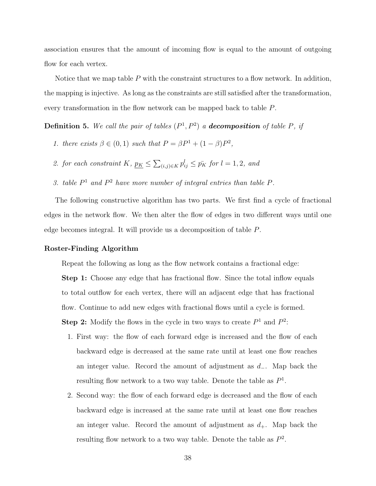association ensures that the amount of incoming flow is equal to the amount of outgoing flow for each vertex.

Notice that we map table  $P$  with the constraint structures to a flow network. In addition, the mapping is injective. As long as the constraints are still satisfied after the transformation, every transformation in the flow network can be mapped back to table P.

**Definition 5.** We call the pair of tables  $(P^1, P^2)$  a **decomposition** of table P, if

- 1. there exists  $\beta \in (0,1)$  such that  $P = \beta P^1 + (1-\beta)P^2$ ,
- 2. for each constraint K,  $\underline{p_K} \leq \sum_{(i,j)\in K} p_{ij}^l \leq \overline{p_K}$  for  $l = 1, 2$ , and
- 3. table  $P^1$  and  $P^2$  have more number of integral entries than table  $P$ .

The following constructive algorithm has two parts. We first find a cycle of fractional edges in the network flow. We then alter the flow of edges in two different ways until one edge becomes integral. It will provide us a decomposition of table P.

#### Roster-Finding Algorithm

Repeat the following as long as the flow network contains a fractional edge:

Step 1: Choose any edge that has fractional flow. Since the total inflow equals to total outflow for each vertex, there will an adjacent edge that has fractional flow. Continue to add new edges with fractional flows until a cycle is formed.

**Step 2:** Modify the flows in the cycle in two ways to create  $P^1$  and  $P^2$ :

- 1. First way: the flow of each forward edge is increased and the flow of each backward edge is decreased at the same rate until at least one flow reaches an integer value. Record the amount of adjustment as  $d_-\$ . Map back the resulting flow network to a two way table. Denote the table as  $P^1$ .
- 2. Second way: the flow of each forward edge is decreased and the flow of each backward edge is increased at the same rate until at least one flow reaches an integer value. Record the amount of adjustment as  $d_{+}$ . Map back the resulting flow network to a two way table. Denote the table as  $P^2$ .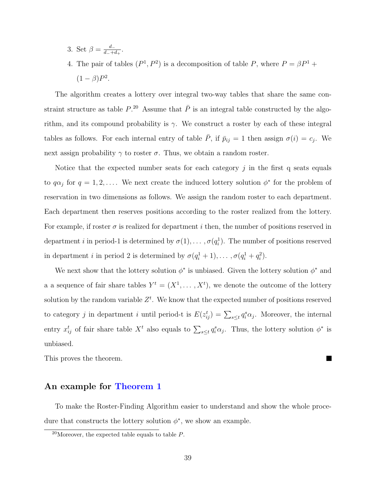- 3. Set  $\beta = \frac{d_{-}}{d_{-}+d_{-}}$  $\frac{d_+}{d_-+d_+}$ .
- 4. The pair of tables  $(P^1, P^2)$  is a decomposition of table P, where  $P = \beta P^1 +$  $(1 - \beta)P^2$ .

The algorithm creates a lottery over integral two-way tables that share the same constraint structure as table  $P^{20}$ . Assume that  $\overline{P}$  is an integral table constructed by the algorithm, and its compound probability is  $\gamma$ . We construct a roster by each of these integral tables as follows. For each internal entry of table  $\overline{P}$ , if  $\overline{p}_{ij} = 1$  then assign  $\sigma(i) = c_j$ . We next assign probability  $\gamma$  to roster  $\sigma$ . Thus, we obtain a random roster.

Notice that the expected number seats for each category  $j$  in the first q seats equals to  $q\alpha_j$  for  $q = 1, 2, \ldots$ . We next create the induced lottery solution  $\phi^*$  for the problem of reservation in two dimensions as follows. We assign the random roster to each department. Each department then reserves positions according to the roster realized from the lottery. For example, if roster  $\sigma$  is realized for department i then, the number of positions reserved in department *i* in period-1 is determined by  $\sigma(1), \ldots, \sigma(q_i)$ . The number of positions reserved in department *i* in period 2 is determined by  $\sigma(q_i^1 + 1), \ldots, \sigma(q_i^1 + q_i^2)$ .

We next show that the lottery solution  $\phi^*$  is unbiased. Given the lottery solution  $\phi^*$  and a a sequence of fair share tables  $Y^t = (X^1, \ldots, X^t)$ , we denote the outcome of the lottery solution by the random variable  $Z<sup>t</sup>$ . We know that the expected number of positions reserved to category *j* in department *i* until period-t is  $E(z_{ij}^t) = \sum_{s \leq t} q_i^s \alpha_j$ . Moreover, the internal entry  $x_{ij}^t$  of fair share table  $X^t$  also equals to  $\sum_{s\leq t} q_i^s \alpha_j$ . Thus, the lottery solution  $\phi^*$  is unbiased.

 $\blacksquare$ 

This proves the theorem.

## An example for [Theorem 1](#page-22-1)

To make the Roster-Finding Algorithm easier to understand and show the whole procedure that constructs the lottery solution  $\phi^*$ , we show an example.

<sup>&</sup>lt;sup>20</sup>Moreover, the expected table equals to table  $P$ .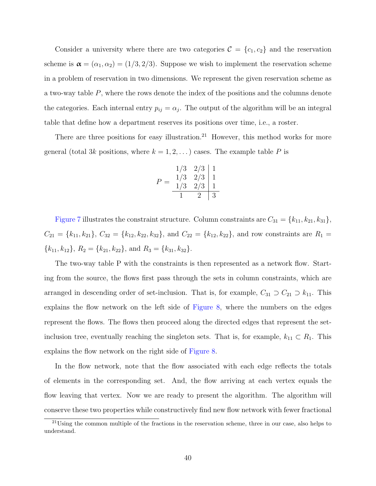Consider a university where there are two categories  $\mathcal{C} = \{c_1, c_2\}$  and the reservation scheme is  $\boldsymbol{\alpha} = (\alpha_1, \alpha_2) = (1/3, 2/3)$ . Suppose we wish to implement the reservation scheme in a problem of reservation in two dimensions. We represent the given reservation scheme as a two-way table P, where the rows denote the index of the positions and the columns denote the categories. Each internal entry  $p_{ij} = \alpha_j$ . The output of the algorithm will be an integral table that define how a department reserves its positions over time, i.e., a roster.

There are three positions for easy illustration.<sup>21</sup> However, this method works for more general (total 3k positions, where  $k = 1, 2, \ldots$ ) cases. The example table P is

$$
P = \begin{array}{c|c|c} 1/3 & 2/3 & 1 \\ 1/3 & 2/3 & 1 \\ \hline 1/3 & 2/3 & 1 \\ \hline 1 & 2 & 3 \end{array}
$$

[Figure 7](#page-40-0) illustrates the constraint structure. Column constraints are  $C_{31} = \{k_{11}, k_{21}, k_{31}\},\$  $C_{21} = \{k_{11}, k_{21}\}, C_{32} = \{k_{12}, k_{22}, k_{32}\}, \text{ and } C_{22} = \{k_{12}, k_{22}\}, \text{ and row constraints are } R_1 =$  ${k_{11}, k_{12}}, R_2 = {k_{21}, k_{22}}, \text{ and } R_3 = {k_{31}, k_{32}}.$ 

The two-way table P with the constraints is then represented as a network flow. Starting from the source, the flows first pass through the sets in column constraints, which are arranged in descending order of set-inclusion. That is, for example,  $C_{31} \supset C_{21} \supset k_{11}$ . This explains the flow network on the left side of [Figure 8,](#page-40-1) where the numbers on the edges represent the flows. The flows then proceed along the directed edges that represent the setinclusion tree, eventually reaching the singleton sets. That is, for example,  $k_{11} \subset R_1$ . This explains the flow network on the right side of [Figure 8.](#page-40-1)

In the flow network, note that the flow associated with each edge reflects the totals of elements in the corresponding set. And, the flow arriving at each vertex equals the flow leaving that vertex. Now we are ready to present the algorithm. The algorithm will conserve these two properties while constructively find new flow network with fewer fractional

<sup>21</sup>Using the common multiple of the fractions in the reservation scheme, three in our case, also helps to understand.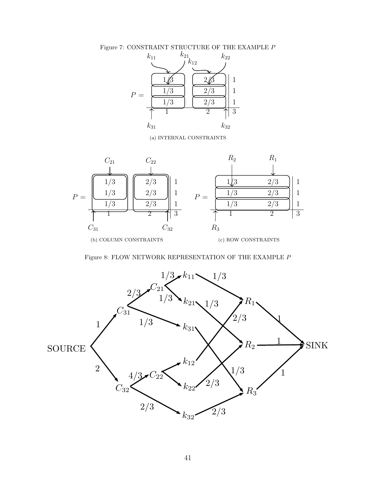<span id="page-40-0"></span>Figure 7: CONSTRAINT STRUCTURE OF THE EXAMPLE  ${\cal P}$ 



(a) INTERNAL CONSTRAINTS



Figure 8: FLOW NETWORK REPRESENTATION OF THE EXAMPLE  $\boldsymbol{P}$ 

<span id="page-40-1"></span>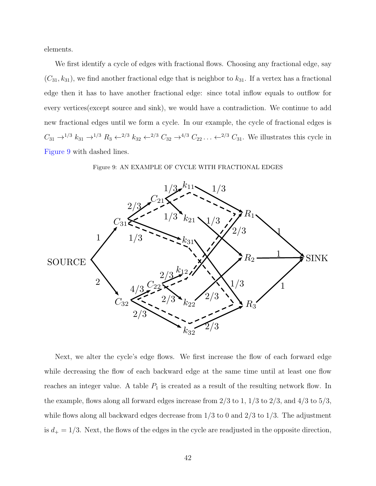elements.

We first identify a cycle of edges with fractional flows. Choosing any fractional edge, say  $(C_{31}, k_{31})$ , we find another fractional edge that is neighbor to  $k_{31}$ . If a vertex has a fractional edge then it has to have another fractional edge: since total inflow equals to outflow for every vertices(except source and sink), we would have a contradiction. We continue to add new fractional edges until we form a cycle. In our example, the cycle of fractional edges is  $C_{31} \rightarrow^{1/3} k_{31} \rightarrow^{1/3} R_3 \leftarrow^{2/3} k_{32} \leftarrow^{2/3} C_{32} \rightarrow^{4/3} C_{22} \dots \leftarrow^{2/3} C_{31}$ . We illustrates this cycle in [Figure 9](#page-41-0) with dashed lines.



<span id="page-41-0"></span>

Next, we alter the cycle's edge flows. We first increase the flow of each forward edge while decreasing the flow of each backward edge at the same time until at least one flow reaches an integer value. A table  $P_1$  is created as a result of the resulting network flow. In the example, flows along all forward edges increase from  $2/3$  to  $1, 1/3$  to  $2/3$ , and  $4/3$  to  $5/3$ , while flows along all backward edges decrease from  $1/3$  to 0 and  $2/3$  to  $1/3$ . The adjustment is  $d_+ = 1/3$ . Next, the flows of the edges in the cycle are readjusted in the opposite direction,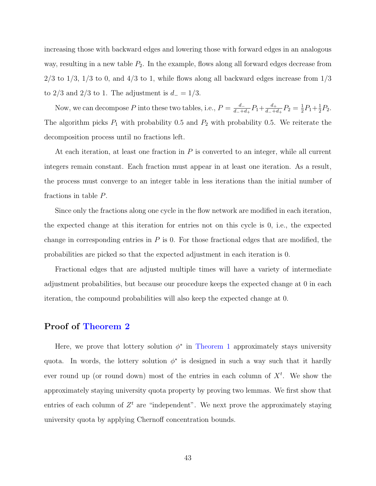increasing those with backward edges and lowering those with forward edges in an analogous way, resulting in a new table  $P_2$ . In the example, flows along all forward edges decrease from  $2/3$  to  $1/3$ ,  $1/3$  to 0, and  $4/3$  to 1, while flows along all backward edges increase from  $1/3$ to 2/3 and 2/3 to 1. The adjustment is  $d_$  = 1/3.

Now, we can decompose P into these two tables, i.e.,  $P = \frac{d}{d+1}$  $\frac{d_{-}}{d_{-}+d_{+}}P_{1}+\frac{d_{+}}{d_{-}+e_{-}}$  $\frac{d_+}{d_-+d_+}P_2=\frac{1}{2}$  $\frac{1}{2}P_1 + \frac{1}{2}$  $\frac{1}{2}P_2.$ The algorithm picks  $P_1$  with probability 0.5 and  $P_2$  with probability 0.5. We reiterate the decomposition process until no fractions left.

At each iteration, at least one fraction in  $P$  is converted to an integer, while all current integers remain constant. Each fraction must appear in at least one iteration. As a result, the process must converge to an integer table in less iterations than the initial number of fractions in table P.

Since only the fractions along one cycle in the flow network are modified in each iteration, the expected change at this iteration for entries not on this cycle is 0, i.e., the expected change in corresponding entries in  $P$  is 0. For those fractional edges that are modified, the probabilities are picked so that the expected adjustment in each iteration is 0.

Fractional edges that are adjusted multiple times will have a variety of intermediate adjustment probabilities, but because our procedure keeps the expected change at 0 in each iteration, the compound probabilities will also keep the expected change at 0.

## Proof of [Theorem 2](#page-24-0)

<span id="page-42-0"></span>Here, we prove that lottery solution  $\phi^*$  in [Theorem 1](#page-22-1) approximately stays university quota. In words, the lottery solution  $\phi^*$  is designed in such a way such that it hardly ever round up (or round down) most of the entries in each column of  $X<sup>t</sup>$ . We show the approximately staying university quota property by proving two lemmas. We first show that entries of each column of  $Z<sup>t</sup>$  are "independent". We next prove the approximately staying university quota by applying Chernoff concentration bounds.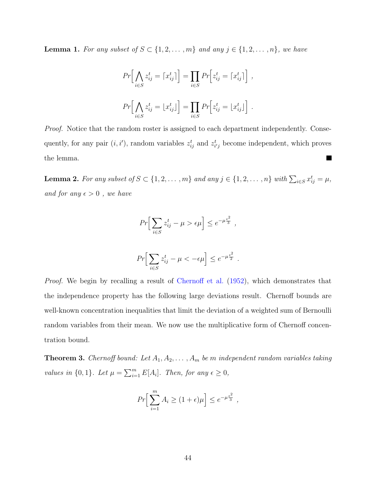**Lemma 1.** For any subset of  $S \subset \{1, 2, ..., m\}$  and any  $j \in \{1, 2, ..., n\}$ , we have

$$
Pr\Big[\bigwedge_{i\in S} z_{ij}^t = \big[x_{ij}^t\big]\Big] = \prod_{i\in S} Pr\Big[z_{ij}^t = \big[x_{ij}^t\big]\Big],
$$
  

$$
Pr\Big[\bigwedge_{i\in S} z_{ij}^t = \big[x_{ij}^t\big]\Big] = \prod_{i\in S} Pr\Big[z_{ij}^t = \big[x_{ij}^t\big]\Big].
$$

Proof. Notice that the random roster is assigned to each department independently. Consequently, for any pair  $(i, i')$ , random variables  $z_{ij}^t$  and  $z_{i'j}^t$  become independent, which proves the lemma.  $\blacksquare$ 

<span id="page-43-0"></span>**Lemma 2.** For any subset of  $S \subset \{1, 2, ..., m\}$  and any  $j \in \{1, 2, ..., n\}$  with  $\sum_{i \in S} x_{ij}^t = \mu$ , and for any  $\epsilon > 0$ , we have

$$
Pr\Big[\sum_{i\in S} z_{ij}^t - \mu > \epsilon \mu\Big] \leq e^{-\mu \frac{\epsilon^2}{3}},
$$

$$
Pr\Big[\sum_{i\in S} z_{ij}^t - \mu < -\epsilon \mu\Big] \leq e^{-\mu \frac{\epsilon^2}{2}}.
$$

Proof. We begin by recalling a result of [Chernoff et al.](#page-32-8) [\(1952\)](#page-32-8), which demonstrates that the independence property has the following large deviations result. Chernoff bounds are well-known concentration inequalities that limit the deviation of a weighted sum of Bernoulli random variables from their mean. We now use the multiplicative form of Chernoff concentration bound.

**Theorem 3.** Chernoff bound: Let  $A_1, A_2, \ldots, A_m$  be m independent random variables taking values in  $\{0,1\}$ . Let  $\mu = \sum_{i=1}^{m} E[A_i]$ . Then, for any  $\epsilon \geq 0$ ,

$$
Pr\Big[\sum_{i=1}^{m} A_i \ge (1+\epsilon)\mu\Big] \le e^{-\mu \frac{\epsilon^2}{3}},
$$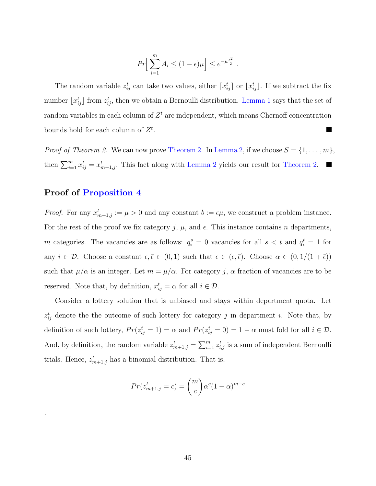$$
Pr\Big[\sum_{i=1}^m A_i \le (1 - \epsilon)\mu\Big] \le e^{-\mu \frac{\epsilon^2}{2}}.
$$

The random variable  $z_{ij}^t$  can take two values, either  $\lceil x_{ij}^t \rceil$  or  $\lfloor x_{ij}^t \rfloor$ . If we subtract the fix number  $\lfloor x_{ij}^t \rfloor$  from  $z_{ij}^t$ , then we obtain a Bernoulli distribution. [Lemma 1](#page-42-0) says that the set of random variables in each column of  $Z<sup>t</sup>$  are independent, which means Chernoff concentration bounds hold for each column of  $Z<sup>t</sup>$ .  $\blacksquare$ 

*Proof of [Theorem 2.](#page-24-0)* We can now prove Theorem 2. In [Lemma 2,](#page-43-0) if we choose  $S = \{1, \ldots, m\}$ , then  $\sum_{i=1}^{m} x_{ij}^{t} = x_{m+1,j}^{t}$ . This fact along with [Lemma 2](#page-43-0) yields our result for [Theorem 2.](#page-24-0)

# Proof of [Proposition 4](#page-24-1)

.

*Proof.* For any  $x_{m+1,j}^t := \mu > 0$  and any constant  $b := \epsilon \mu$ , we construct a problem instance. For the rest of the proof we fix category j,  $\mu$ , and  $\epsilon$ . This instance contains n departments, m categories. The vacancies are as follows:  $q_i^s = 0$  vacancies for all  $s < t$  and  $q_i^t = 1$  for any  $i \in \mathcal{D}$ . Choose a constant  $\epsilon, \bar{\epsilon} \in (0, 1)$  such that  $\epsilon \in (\epsilon, \bar{\epsilon})$ . Choose  $\alpha \in (0, 1/(1 + \bar{\epsilon}))$ such that  $\mu/\alpha$  is an integer. Let  $m = \mu/\alpha$ . For category j,  $\alpha$  fraction of vacancies are to be reserved. Note that, by definition,  $x_{ij}^t = \alpha$  for all  $i \in \mathcal{D}$ .

Consider a lottery solution that is unbiased and stays within department quota. Let  $z_{ij}^t$  denote the the outcome of such lottery for category j in department i. Note that, by definition of such lottery,  $Pr(z_{ij}^t = 1) = \alpha$  and  $Pr(z_{ij}^t = 0) = 1 - \alpha$  must fold for all  $i \in \mathcal{D}$ . And, by definition, the random variable  $z_{m+1,j}^t = \sum_{i=1}^m z_{i,j}^t$  is a sum of independent Bernoulli trials. Hence,  $z_{m+1,j}^{t}$  has a binomial distribution. That is,

$$
Pr(z_{m+1,j}^t = c) = \binom{m}{c} \alpha^c (1 - \alpha)^{m-c}
$$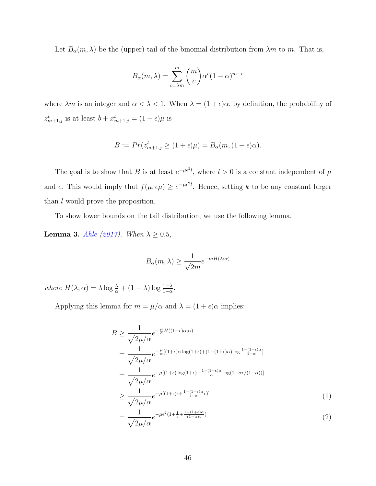Let  $B_{\alpha}(m, \lambda)$  be the (upper) tail of the binomial distribution from  $\lambda m$  to m. That is,

$$
B_{\alpha}(m,\lambda) = \sum_{c=\lambda m}^{m} {m \choose c} \alpha^{c} (1-\alpha)^{m-c}
$$

where  $\lambda m$  is an integer and  $\alpha < \lambda < 1$ . When  $\lambda = (1 + \epsilon)\alpha$ , by definition, the probability of  $z_{m+1,j}^t$  is at least  $b + x_{m+1,j}^t = (1 + \epsilon)\mu$  is

$$
B := Pr(z_{m+1,j}^t \ge (1+\epsilon)\mu) = B_{\alpha}(m, (1+\epsilon)\alpha).
$$

The goal is to show that B is at least  $e^{-\mu \epsilon^2 l}$ , where  $l > 0$  is a constant independent of  $\mu$ and  $\epsilon$ . This would imply that  $f(\mu, \epsilon \mu) \geq e^{-\mu \epsilon^2 l}$ . Hence, setting k to be any constant larger than *l* would prove the proposition.

To show lower bounds on the tail distribution, we use the following lemma.

**Lemma 3.** [Ahle](#page-32-9) [\(2017\)](#page-32-9). When  $\lambda \geq 0.5$ ,

$$
B_{\alpha}(m,\lambda) \ge \frac{1}{\sqrt{2m}} e^{-mH(\lambda;\alpha)}
$$

where  $H(\lambda; \alpha) = \lambda \log \frac{\lambda}{\alpha} + (1 - \lambda) \log \frac{1 - \lambda}{1 - \alpha}$ .

Applying this lemma for  $m = \mu/\alpha$  and  $\lambda = (1 + \epsilon)\alpha$  implies:

$$
B \geq \frac{1}{\sqrt{2\mu/\alpha}} e^{-\frac{\mu}{\alpha}H((1+\epsilon)\alpha;\alpha)}
$$
  
= 
$$
\frac{1}{\sqrt{2\mu/\alpha}} e^{-\frac{\mu}{\alpha}[(1+\epsilon)\alpha \log(1+\epsilon)+(1-(1+\epsilon)\alpha) \log \frac{1-(1+\epsilon)\alpha}{1-\alpha}]}
$$
  
= 
$$
\frac{1}{\sqrt{2\mu/\alpha}} e^{-\mu[(1+\epsilon)\log(1+\epsilon)+\frac{1-(1+\epsilon)\alpha}{\alpha} \log(1-\alpha\epsilon/(1-\alpha))]}
$$
  

$$
\geq \frac{1}{\sqrt{2\mu/\alpha}} e^{-\mu[(1+\epsilon)\epsilon+\frac{1-(1+\epsilon)\alpha}{1-\alpha}\epsilon]}
$$
(1)  
= 
$$
\frac{1}{\sqrt{2\mu/\alpha}} e^{-\mu\epsilon^2(1+\frac{1}{\epsilon}+\frac{1-(1+\epsilon)\alpha}{(1-\alpha)\epsilon})}
$$
(2)

<span id="page-45-1"></span><span id="page-45-0"></span>
$$
=\frac{1}{\sqrt{2\mu/\alpha}}e^{-\mu\epsilon^2(1+\frac{1}{\epsilon}+\frac{1-(1+\epsilon)\alpha}{(1-\alpha)\epsilon})}
$$
(2)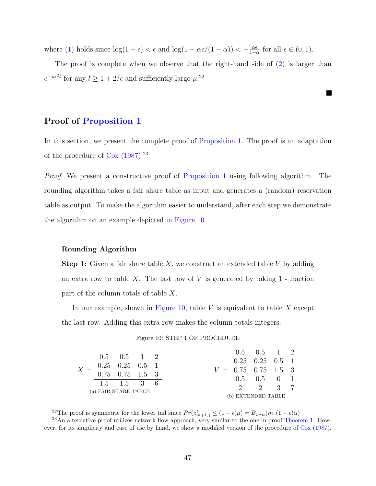where [\(1\)](#page-45-0) holds since  $\log(1 + \epsilon) < \epsilon$  and  $\log(1 - \alpha \epsilon/(1 - \alpha)) < -\frac{\alpha \epsilon}{1 - \epsilon}$  $\frac{\alpha \epsilon}{1-\alpha}$  for all  $\epsilon \in (0,1)$ .

The proof is complete when we observe that the right-hand side of [\(2\)](#page-45-1) is larger than  $e^{-\mu\epsilon^2 l}$  for any  $l \geq 1 + 2/\epsilon$  and sufficiently large  $\mu^{22}$ 

# Proof of [Proposition 1](#page-20-1)

In this section, we present the complete proof of [Proposition 1.](#page-20-1) The proof is an adaptation of the procedure of  $\cos(1987)^{23}$  $\cos(1987)^{23}$  $\cos(1987)^{23}$ 

Proof. We present a constructive proof of [Proposition 1](#page-20-1) using following algorithm. The rounding algorithm takes a fair share table as input and generates a (random) reservation table as output. To make the algorithm easier to understand, after each step we demonstrate the algorithm on an example depicted in [Figure 10.](#page-46-0)

#### Rounding Algorithm

**Step 1:** Given a fair share table  $X$ , we construct an extended table  $V$  by adding an extra row to table  $X$ . The last row of  $V$  is generated by taking  $1$  - fraction part of the column totals of table X.

In our example, shown in [Figure 10,](#page-46-0) table  $V$  is equivalent to table  $X$  except the last row. Adding this extra row makes the column totals integers.

#### Figure 10: STEP 1 OF PROCEDURE

<span id="page-46-0"></span>

|                                                                                                                 | $0.5$ $0.5$ $1 \mid 2$ |  |  | $0.5$ $0.5$ $1 \mid 2$                 |  |
|-----------------------------------------------------------------------------------------------------------------|------------------------|--|--|----------------------------------------|--|
|                                                                                                                 |                        |  |  | $0.25 \quad 0.25 \quad 0.5 \mid 1$     |  |
|                                                                                                                 |                        |  |  | $V = 0.75 \quad 0.75 \quad 1.5 \mid 3$ |  |
| $X = \begin{bmatrix} 0.25 & 0.25 & 0.5 \\ 0.75 & 0.75 & 1.5 \end{bmatrix} \begin{bmatrix} 1 \\ 3 \end{bmatrix}$ |                        |  |  |                                        |  |
|                                                                                                                 | $1.5$ $1.5$ $3$        |  |  | $0.5$ $0.5$ 0                          |  |
|                                                                                                                 | (a) FAIR SHARE TABLE   |  |  | 2 2 3                                  |  |
|                                                                                                                 |                        |  |  | (b) EXTENDED TABLE                     |  |

<sup>&</sup>lt;sup>22</sup>The proof is symmetric for the lower tail since  $Pr(z_{m+1,j}^t \leq (1 - \epsilon)\mu) = B_{1-\alpha}(m, (1 - \epsilon)\alpha)$ 

<sup>23</sup>An alternative proof utilizes network flow approach, very similar to the one in proof [Theorem 1.](#page-22-1) However, for its simplicity and ease of use by hand, we show a modified version of the procedure of [Cox](#page-33-0) [\(1987\)](#page-33-0).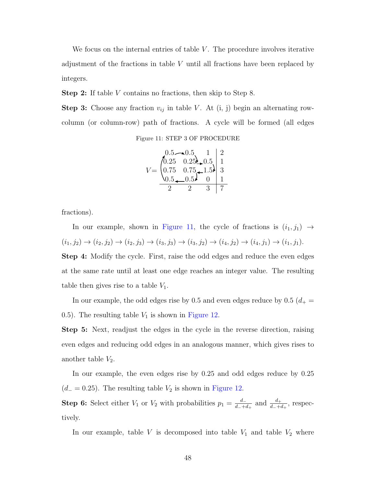We focus on the internal entries of table  $V$ . The procedure involves iterative adjustment of the fractions in table V until all fractions have been replaced by integers.

Step 2: If table V contains no fractions, then skip to Step 8.

<span id="page-47-0"></span>**Step 3:** Choose any fraction  $v_{ij}$  in table V. At (i, j) begin an alternating rowcolumn (or column-row) path of fractions. A cycle will be formed (all edges

|       | $0.5 - 0.5$  |   |
|-------|--------------|---|
| /0.25 | $0.25 - 0.5$ |   |
| 0.75  | $0.75 - 1.5$ | 3 |
|       | $0.5\lambda$ |   |
|       |              |   |

fractions).

In our example, shown in [Figure 11,](#page-47-0) the cycle of fractions is  $(i_1, j_1) \rightarrow$  $(i_1, j_2) \rightarrow (i_2, j_2) \rightarrow (i_2, j_3) \rightarrow (i_3, j_3) \rightarrow (i_3, j_2) \rightarrow (i_4, j_2) \rightarrow (i_4, j_1) \rightarrow (i_1, j_1).$ 

Step 4: Modify the cycle. First, raise the odd edges and reduce the even edges at the same rate until at least one edge reaches an integer value. The resulting table then gives rise to a table  $V_1$ .

In our example, the odd edges rise by 0.5 and even edges reduce by 0.5 ( $d_{+}$  = 0.5). The resulting table  $V_1$  is shown in [Figure 12.](#page-48-0)

Step 5: Next, readjust the edges in the cycle in the reverse direction, raising even edges and reducing odd edges in an analogous manner, which gives rises to another table  $V_2$ .

In our example, the even edges rise by 0.25 and odd edges reduce by 0.25  $(d_-=0.25)$ . The resulting table  $V_2$  is shown in [Figure 12.](#page-48-0)

**Step 6:** Select either  $V_1$  or  $V_2$  with probabilities  $p_1 = \frac{d}{d+1}$  $\frac{d_-}{d_-+d_+}$  and  $\frac{d_+}{d_-+d_+}$ , respectively.

In our example, table  $V$  is decomposed into table  $V_1$  and table  $V_2$  where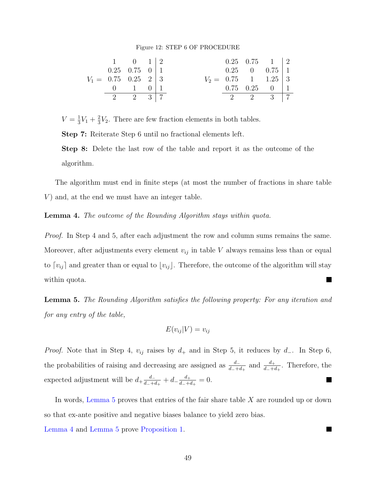#### Figure 12: STEP 6 OF PROCEDURE

<span id="page-48-0"></span>

|                                        | $1 \qquad 0 \qquad 1 \mid 2$     |  |  | $0.25$ $0.75$ $1$   2           |  |
|----------------------------------------|----------------------------------|--|--|---------------------------------|--|
|                                        | $0.25 \quad 0.75 \quad 0 \mid 1$ |  |  | $0.25 \quad 0 \quad 0.75 \, 11$ |  |
| $V_1 = 0.75 \quad 0.25 \quad 2 \mid 3$ |                                  |  |  | $V_2 = 0.75 \t1 \t1.25 \t3$     |  |
|                                        | $0 \qquad 1 \qquad 0 \mid 1$     |  |  | $0.75$ $0.25$ $0$   1           |  |
|                                        | 2 2 3 $\vert$ 7                  |  |  | 2 2 3 $\vert$ 7                 |  |

 $V=\frac{1}{3}$  $\frac{1}{3}V_1 + \frac{2}{3}$  $\frac{2}{3}V_2$ . There are few fraction elements in both tables.

Step 7: Reiterate Step 6 until no fractional elements left.

Step 8: Delete the last row of the table and report it as the outcome of the algorithm.

The algorithm must end in finite steps (at most the number of fractions in share table V) and, at the end we must have an integer table.

<span id="page-48-2"></span>Lemma 4. The outcome of the Rounding Algorithm stays within quota.

Proof. In Step 4 and 5, after each adjustment the row and column sums remains the same. Moreover, after adjustments every element  $v_{ij}$  in table V always remains less than or equal to  $\lceil v_{ij} \rceil$  and greater than or equal to  $\lfloor v_{ij} \rfloor$ . Therefore, the outcome of the algorithm will stay within quota. 

<span id="page-48-1"></span>Lemma 5. The Rounding Algorithm satisfies the following property: For any iteration and for any entry of the table,

$$
E(v_{ij}|V) = v_{ij}
$$

*Proof.* Note that in Step 4,  $v_{ij}$  raises by  $d_+$  and in Step 5, it reduces by  $d_-$ . In Step 6, the probabilities of raising and decreasing are assigned as  $\frac{d_-}{d_-+d_+}$  and  $\frac{d_+}{d_-+d_+}$ . Therefore, the expected adjustment will be  $d_{+}\frac{d_{-}}{d_{-}+d_{-}}$  $\frac{d_-}{d_-+d_+}+d_-\frac{d_+}{d_-+d_-}$  $\frac{d_+}{d_-+d_+}=0.$  $\mathcal{L}$ 

In words, Lemma  $5$  proves that entries of the fair share table  $X$  are rounded up or down so that ex-ante positive and negative biases balance to yield zero bias.

[Lemma 4](#page-48-2) and [Lemma 5](#page-48-1) prove [Proposition 1.](#page-20-1)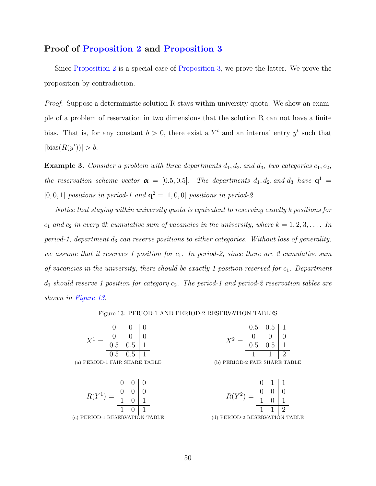## Proof of [Proposition 2](#page-21-0) and [Proposition 3](#page-22-0)

Since [Proposition 2](#page-21-0) is a special case of [Proposition 3,](#page-22-0) we prove the latter. We prove the proposition by contradiction.

*Proof.* Suppose a deterministic solution R stays within university quota. We show an example of a problem of reservation in two dimensions that the solution R can not have a finite bias. That is, for any constant  $b > 0$ , there exist a  $Y<sup>t</sup>$  and an internal entry  $y<sup>t</sup>$  such that  $|\text{bias}(R(y^t))| > b.$ 

<span id="page-49-1"></span>**Example 3.** Consider a problem with three departments  $d_1, d_2$ , and  $d_3$ , two categories  $c_1, c_2$ , the reservation scheme vector  $\alpha = [0.5, 0.5]$ . The departments  $d_1, d_2$ , and  $d_3$  have  $\mathbf{q}^1$ [0, 0, 1] positions in period-1 and  $\mathbf{q}^2 = [1, 0, 0]$  positions in period-2.

Notice that staying within university quota is equivalent to reserving exactly k positions for  $c_1$  and  $c_2$  in every 2k cumulative sum of vacancies in the university, where  $k = 1, 2, 3, \ldots$  In period-1, department  $d_3$  can reserve positions to either categories. Without loss of generality, we assume that it reserves 1 position for  $c_1$ . In period-2, since there are 2 cumulative sum of vacancies in the university, there should be exactly 1 position reserved for  $c_1$ . Department  $d_1$  should reserve 1 position for category  $c_2$ . The period-1 and period-2 reservation tables are shown in [Figure 13.](#page-49-0)

#### Figure 13: PERIOD-1 AND PERIOD-2 RESERVATION TABLES

<span id="page-49-0"></span>

|                               |                 |  |                                                        | $0.5 \quad 0.5$ |  |
|-------------------------------|-----------------|--|--------------------------------------------------------|-----------------|--|
| $=$ $\frac{0}{0.5}$ $\sim$    |                 |  | $V^2 = \begin{array}{cc} 0 & 0 \\ 0.5 & 0 \end{array}$ |                 |  |
|                               |                 |  |                                                        |                 |  |
|                               | $0.5 \quad 0.5$ |  |                                                        |                 |  |
| (a) PERIOD-1 FAIR SHARE TABLE |                 |  | (b) PERIOD-2 FAIR SHARE TABLE                          |                 |  |

 $R(Y^1) =$  $0 \mid 0$  $0 \mid 0$  $1 \quad 0 \mid 1$  $1 \quad 0 \mid 1$ (c) PERIOD-1 RESERVATION TABLE

 $R(Y^2) =$  $0 \t1 \t1$  $0 \mid 0$  $1 \quad 0 \mid 1$  $1 \mid 2$ (d) PERIOD-2 RESERVATION TABLE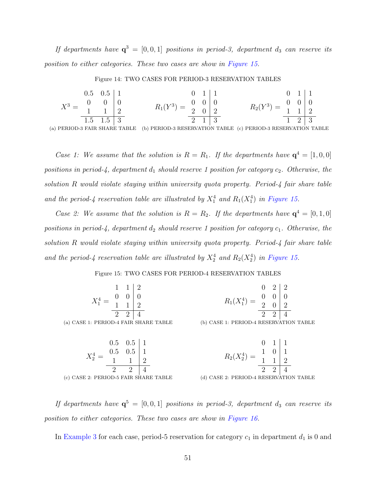If departments have  $\mathbf{q}^3 = [0,0,1]$  positions in period-3, department  $d_3$  can reserve its position to either categories. These two cases are show in [Figure 15.](#page-50-0)

Figure 14: TWO CASES FOR PERIOD-3 RESERVATION TABLES

$$
X^{3} = \begin{array}{ccc|c} 0.5 & 0.5 & 1 & 0 & 1 & 1 & 0 & 1 & 1 \\ 0 & 0 & 0 & 0 & 0 & 0 & 0 & 0 \\ \hline 1.5 & 1.5 & 3 & 2 & 1 & 3 & 1 & 2 \\ \end{array}
$$

(a) PERIOD-3 FAIR SHARE TABLE (b) PERIOD-3 RESERVATION TABLE (c) PERIOD-3 RESERVATION TABLE

Case 1: We assume that the solution is  $R = R_1$ . If the departments have  $\mathbf{q}^4 = [1, 0, 0]$ positions in period-4, department  $d_1$  should reserve 1 position for category  $c_2$ . Otherwise, the solution R would violate staying within university quota property. Period-4 fair share table and the period-4 reservation table are illustrated by  $X_1^4$  and  $R_1(X_1^4)$  in [Figure 15.](#page-50-0)

Case 2: We assume that the solution is  $R = R_2$ . If the departments have  $\mathbf{q}^4 = [0, 1, 0]$ positions in period-4, department  $d_2$  should reserve 1 position for category  $c_1$ . Otherwise, the solution R would violate staying within university quota property. Period-4 fair share table and the period-4 reservation table are illustrated by  $X_2^4$  and  $R_2(X_2^4)$  in [Figure 15.](#page-50-0)

Figure 15: TWO CASES FOR PERIOD-4 RESERVATION TABLES

 $(a)$  CASE

<span id="page-50-0"></span>

|                                                                    | $\mathbf{1}$ |  |  |                                                                     |                                        | $\Omega$       |  |  |
|--------------------------------------------------------------------|--------------|--|--|---------------------------------------------------------------------|----------------------------------------|----------------|--|--|
| $\frac{4}{4} = \frac{0}{1} \frac{6}{1} \left  \frac{6}{1} \right $ |              |  |  | $R_1(X_1^4) = \begin{bmatrix} 0 & 0 & 0 \\ 2 & 0 & 0 \end{bmatrix}$ |                                        |                |  |  |
|                                                                    |              |  |  |                                                                     |                                        |                |  |  |
|                                                                    |              |  |  |                                                                     |                                        | $\overline{2}$ |  |  |
| 1: PERIOD-4 FAIR SHARE TABLE                                       |              |  |  |                                                                     | (b) CASE 1: PERIOD-4 RESERVATION TABLE |                |  |  |

$$
X_2^4 = \begin{array}{c|c} 0.5 & 0.5 & 1 & 0 & 1 & 1 \\ 0.5 & 0.5 & 1 & 0 & 1 & 1 \\ 1 & 1 & 2 & 0 & 1 & 1 \\ \hline 2 & 2 & 4 & 0 & 0.08 \text{E} \text{2: } \text{PERIOD-5 FAIR SHE} \\ \end{array}
$$
\n(c) CASE 2: PERIOD-5 FAIR SHARE TABLE

\n(d) CASE 2: PERIOD-4 RESERVATION TABLE

If departments have  $\mathbf{q}^5 = [0, 0, 1]$  positions in period-3, department  $d_3$  can reserve its position to either categories. These two cases are show in [Figure 16.](#page-51-0)

In [Example 3](#page-49-1) for each case, period-5 reservation for category  $c_1$  in department  $d_1$  is 0 and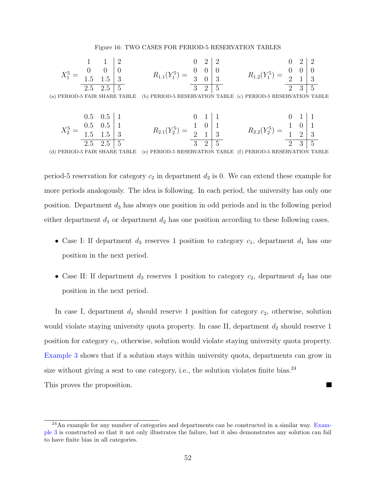#### Figure 16: TWO CASES FOR PERIOD-5 RESERVATION TABLES

<span id="page-51-0"></span>
$$
X_1^5 = \begin{array}{c|c|c|c|c|c} 1 & 1 & 2 & 0 & 2 & 2 & 0 & 2 & 2 \\ 0 & 0 & 0 & 0 & 0 & 0 & 0 & 0 \\ \hline 1.5 & 1.5 & 3 & R_{1.1}(Y_1^5) & = & \begin{array}{c|c|c} 0 & 0 & 2 & 2 & 0 & 2 & 2 \\ 0 & 0 & 0 & 0 & 0 & 0 & 0 \\ \hline 3 & 0 & 3 & 0 & 5 & 2 & 1 & 3 \\ \hline 3 & 2 & 5 & 0 & 2 & 3 & 5 \end{array}
$$

(a) PERIOD-5 FAIR SHARE TABLE (b) PERIOD-5 RESERVATION TABLE (c) PERIOD-5 RESERVATION TABLE

$$
X_2^5 = \begin{array}{c|c|c|c|c|c} 0.5 & 0.5 & 1 & 0 & 1 & 1 & 0 & 1 & 1 \\ 0.5 & 0.5 & 1 & 0 & 0 & 1 & 1 & 0 & 1 \\ 1.5 & 1.5 & 3 & R_{2,1}(Y_2^5) & = & \frac{1}{2} & 1 & 3 & R_{2,2}(Y_2^5) & = & \frac{1}{1} & 0 & 1 \\ 2.5 & 2.5 & 5 & 5 & 0 & 0 & 0 & 0 \\ \end{array}
$$

(d) PERIOD-5 FAIR SHARE TABLE (e) PERIOD-5 RESERVATION TABLE (f) PERIOD-5 RESERVATION TABLE

period-5 reservation for category  $c_2$  in department  $d_2$  is 0. We can extend these example for more periods analogously. The idea is following. In each period, the university has only one position. Department  $d_3$  has always one position in odd periods and in the following period either department  $d_1$  or department  $d_2$  has one position according to these following cases.

- Case I: If department  $d_3$  reserves 1 position to category  $c_1$ , department  $d_1$  has one position in the next period.
- Case II: If department  $d_3$  reserves 1 position to category  $c_2$ , department  $d_2$  has one position in the next period.

In case I, department  $d_1$  should reserve 1 position for category  $c_2$ , otherwise, solution would violate staying university quota property. In case II, department  $d_2$  should reserve 1 position for category  $c_1$ , otherwise, solution would violate staying university quota property. [Example 3](#page-49-1) shows that if a solution stays within university quota, departments can grow in size without giving a seat to one category, i.e., the solution violates finite bias. $^{24}$ This proves the proposition. 

 $^{24}$ An example for any number of categories and departments can be constructed in a similar way. [Exam](#page-49-1)[ple 3](#page-49-1) is constructed so that it not only illustrates the failure, but it also demonstrates any solution can fail to have finite bias in all categories.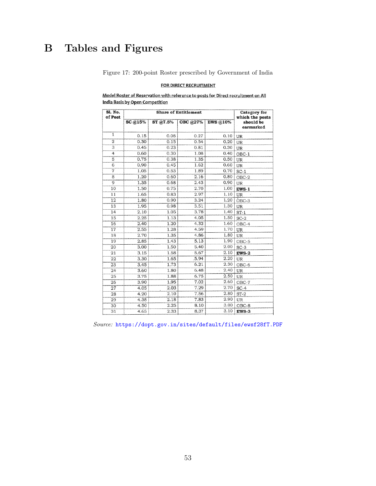# <span id="page-52-0"></span>B Tables and Figures

Figure 17: 200-point Roster prescribed by Government of India

#### FOR DIRECT RECRUITMENT

Model Roster of Reservation with reference to posts for Direct recruitment on All India Basis by Open Competition

| Sl. No.<br>of Post |         | <b>Category</b> for<br>which the posts |          |                 |                        |
|--------------------|---------|----------------------------------------|----------|-----------------|------------------------|
|                    | SC @15% | ST @7.5%                               | OBC @27% | <b>EWS @10%</b> | should be<br>earmarked |
| $\overline{1}$     | 0.15    | 0.08                                   | 0.27     | 0.10            | UR                     |
| $\overline{2}$     | 0.30    | 0.15                                   | 0.54     | 0.20            | UR                     |
| 3                  | 0.45    | 0.23                                   | 0.81     | 0.30            | UR                     |
| 4                  | 0.60    | 0.30                                   | 1.08     | 0.40            | OBC-1                  |
| 5                  | 0.75    | 0.38                                   | 1.35     | 0.50            | UR                     |
| $\overline{6}$     | 0.90    | 0.45                                   | 1.62     | 0.60            | UR                     |
| $\overline{7}$     | 1.05    | 0.53                                   | 1.89     | 0.70            | $SC-1$                 |
| 8                  | 1.20    | 0.60                                   | 2.16     | 0.80            | OBC-2                  |
| 9                  | 1.35    | 0.68                                   | 2.43     | 0.90            | UR                     |
| 10                 | 1.50    | 0.75                                   | 2.70     | 1.00            | EWS-1                  |
| 11                 | 1.65    | 0.83                                   | 2.97     | 1.10            | UR                     |
| 12                 | 1.80    | 0.90                                   | 3.24     | 1.20            | $OBC-3$                |
| 13                 | 1.95    | 0.98                                   | 3.51     | 1.30            | UR                     |
| 14                 | 2.10    | 1.05                                   | 3.78     | 1.40            | $ST-1$                 |
| 15                 | 2.25    | 1.13                                   | 4.05     | 1.50            | $SC-2$                 |
| 16                 | 2.40    | 1.20                                   | 4.32     | 1.60            | OBC-4                  |
| 17                 | 2.55    | 1.28                                   | 4.59     | 1.70            | UR                     |
| 18                 | 2.70    | 1.35                                   | 4.86     | 1.80            | UR                     |
| 19                 | 2.85    | 1.43                                   | 5.13     | 1.90            | OBC-5                  |
| 20                 | 3.00    | 1.50                                   | 5.40     | 2.00            | $SC-3$                 |
| 21                 | 3.15    | 1.58                                   | 5.67     | 2.10            | $EWS-2$                |
| 22                 | 3.30    | 1.65                                   | .5.94    | 2.20            | UR                     |
| 23                 | 3.45    | 1.73                                   | 6.21     | 2.30            | OBC-6                  |
| 24                 | 3.60    | 1.80                                   | 6.48     | 2.40            | UR                     |
| 25                 | 3.75    | 1.88                                   | 6.75     | 2.50            | UR                     |
| 26                 | 3.90    | 1.95                                   | 7.02     | 2.60            | $OBC-7$                |
| 27                 | 4.05    | 2.03                                   | 7.29     | 2.70            | $SC-4$                 |
| 28                 | 4.20    | 2.10                                   | 7.56     | 2.80            | $ST-2$                 |
| 29                 | 4.35    | 2.18                                   | 7.83     | 2.90            | UR                     |
| 30                 | 4.50    | 2.25                                   | 8.10     | 3.00            | $OBC-8$                |
| 31                 | 4.65    | 2.33                                   | 8.37     | 3.10            | EWS-3                  |

Source: <https://dopt.gov.in/sites/default/files/ewsf28fT.PDF>